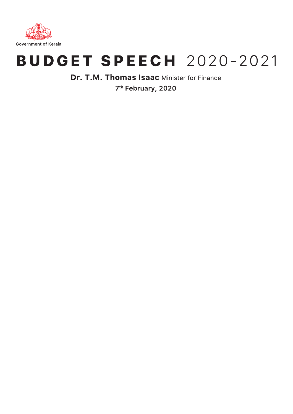

# **BUDGET SPEECH 2020-2021**

Dr. T.M. Thomas Isaac Minister for Finance 7<sup>th</sup> February, 2020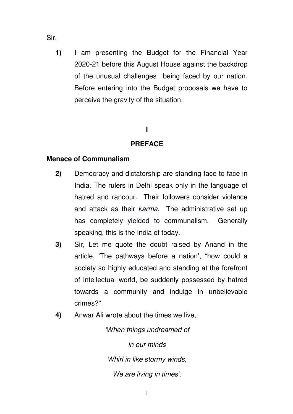- Sir,
	- **1)** I am presenting the Budget for the Financial Year 2020-21 before this August House against the backdrop of the unusual challenges being faced by our nation. Before entering into the Budget proposals we have to perceive the gravity of the situation.

# **I**

# **PREFACE**

# **Menace of Communalism**

- **2)** Democracy and dictatorship are standing face to face in India. The rulers in Delhi speak only in the language of hatred and rancour. Their followers consider violence and attack as their karma. The administrative set up has completely yielded to communalism. Generally speaking, this is the India of today.
- **3)** Sir, Let me quote the doubt raised by Anand in the article, 'The pathways before a nation', "how could a society so highly educated and standing at the forefront of intellectual world, be suddenly possessed by hatred towards a community and indulge in unbelievable crimes?"
- **4)** Anwar Ali wrote about the times we live,

'When things undreamed of in our minds Whirl in like stormy winds, We are living in times'.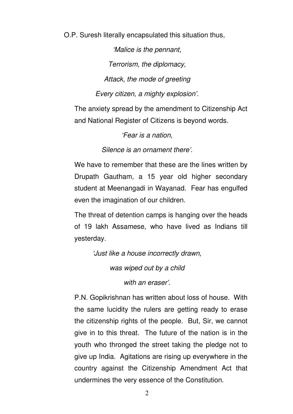O.P. Suresh literally encapsulated this situation thus,

'Malice is the pennant, Terrorism, the diplomacy, Attack, the mode of greeting Every citizen, a mighty explosion'.

The anxiety spread by the amendment to Citizenship Act and National Register of Citizens is beyond words.

'Fear is a nation,

Silence is an ornament there'.

We have to remember that these are the lines written by Drupath Gautham, a 15 year old higher secondary student at Meenangadi in Wayanad. Fear has engulfed even the imagination of our children.

The threat of detention camps is hanging over the heads of 19 lakh Assamese, who have lived as Indians till yesterday.

'Just like a house incorrectly drawn,

was wiped out by a child

with an eraser'.

P.N. Gopikrishnan has written about loss of house. With the same lucidity the rulers are getting ready to erase the citizenship rights of the people. But, Sir, we cannot give in to this threat. The future of the nation is in the youth who thronged the street taking the pledge not to give up India. Agitations are rising up everywhere in the country against the Citizenship Amendment Act that undermines the very essence of the Constitution.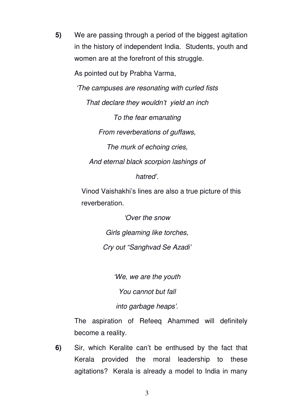**5)** We are passing through a period of the biggest agitation in the history of independent India. Students, youth and women are at the forefront of this struggle.

As pointed out by Prabha Varma,

'The campuses are resonating with curled fists

That declare they wouldn't yield an inch

To the fear emanating From reverberations of guffaws, The murk of echoing cries,

And eternal black scorpion lashings of

hatred'.

Vinod Vaishakhi's lines are also a true picture of this reverberation.

> 'Over the snow Girls gleaming like torches, Cry out "Sanghvad Se Azadi'

> > 'We, we are the youth

You cannot but fall

into garbage heaps'.

The aspiration of Refeeq Ahammed will definitely become a reality.

**6)** Sir, which Keralite can't be enthused by the fact that Kerala provided the moral leadership to these agitations? Kerala is already a model to India in many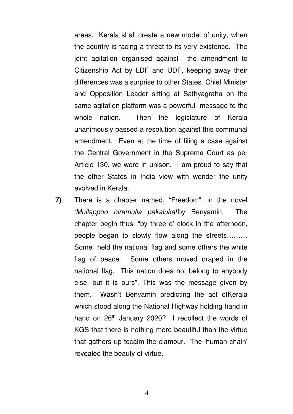areas. Kerala shall create a new model of unity, when the country is facing a threat to its very existence. The joint agitation organised against the amendment to Citizenship Act by LDF and UDF, keeping away their differences was a surprise to other States. Chief Minister and Opposition Leader sitting at Sathyagraha on the same agitation platform was a powerful message to the whole nation. Then the legislature of Kerala unanimously passed a resolution against this communal amendment. Even at the time of filing a case against the Central Government in the Supreme Court as per Article 130, we were in unison. I am proud to say that the other States in India view with wonder the unity evolved in Kerala.

**7)** There is a chapter named, "Freedom", in the novel 'Mullappoo niramulla pakalukal'by Benyamin. The chapter begin thus, "by three o' clock in the afternoon, people began to slowly flow along the streets……… Some held the national flag and some others the white flag of peace. Some others moved draped in the national flag. This nation does not belong to anybody else, but it is ours". This was the message given by them. Wasn't Benyamin predicting the act ofKerala which stood along the National Highway holding hand in hand on  $26<sup>th</sup>$  January 2020? I recollect the words of KGS that there is nothing more beautiful than the virtue that gathers up tocalm the clamour. The 'human chain' revealed the beauty of virtue.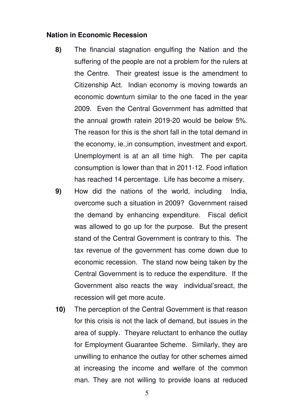## **Nation in Economic Recession**

- **8)** The financial stagnation engulfing the Nation and the suffering of the people are not a problem for the rulers at the Centre. Their greatest issue is the amendment to Citizenship Act. Indian economy is moving towards an economic downturn similar to the one faced in the year 2009. Even the Central Government has admitted that the annual growth ratein 2019-20 would be below 5%. The reason for this is the short fall in the total demand in the economy, ie.,in consumption, investment and export. Unemployment is at an all time high. The per capita consumption is lower than that in 2011-12. Food inflation has reached 14 percentage. Life has become a misery.
- **9)** How did the nations of the world, including India, overcome such a situation in 2009? Government raised the demand by enhancing expenditure. Fiscal deficit was allowed to go up for the purpose. But the present stand of the Central Government is contrary to this. The tax revenue of the government has come down due to economic recession. The stand now being taken by the Central Government is to reduce the expenditure. If the Government also reacts the way individual'sreact, the recession will get more acute.
- **10)** The perception of the Central Government is that reason for this crisis is not the lack of demand, but issues in the area of supply. Theyare reluctant to enhance the outlay for Employment Guarantee Scheme. Similarly, they are unwilling to enhance the outlay for other schemes aimed at increasing the income and welfare of the common man. They are not willing to provide loans at reduced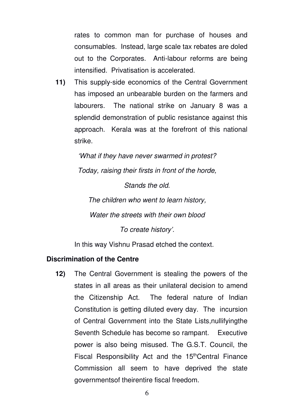rates to common man for purchase of houses and consumables. Instead, large scale tax rebates are doled out to the Corporates. Anti-labour reforms are being intensified. Privatisation is accelerated.

**11)** This supply-side economics of the Central Government has imposed an unbearable burden on the farmers and labourers. The national strike on January 8 was a splendid demonstration of public resistance against this approach. Kerala was at the forefront of this national strike.

> 'What if they have never swarmed in protest? Today, raising their firsts in front of the horde,

> > Stands the old.

The children who went to learn history, Water the streets with their own blood To create history'.

In this way Vishnu Prasad etched the context.

# **Discrimination of the Centre**

**12)** The Central Government is stealing the powers of the states in all areas as their unilateral decision to amend the Citizenship Act. The federal nature of Indian Constitution is getting diluted every day. The incursion of Central Government into the State Lists,nullifyingthe Seventh Schedule has become so rampant. Executive power is also being misused. The G.S.T. Council, the Fiscal Responsibility Act and the 15<sup>th</sup>Central Finance Commission all seem to have deprived the state governmentsof theirentire fiscal freedom.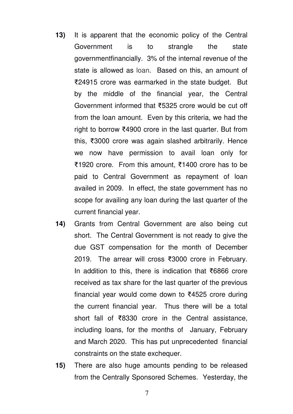- **13)** It is apparent that the economic policy of the Central Government is to strangle the state governmentfinancially. 3% of the internal revenue of the state is allowed as loan. Based on this, an amount of ₹24915 crore was earmarked in the state budget. But by the middle of the financial year, the Central Government informed that ₹5325 crore would be cut off from the loan amount. Even by this criteria, we had the right to borrow ₹4900 crore in the last quarter. But from this, ₹3000 crore was again slashed arbitrarily. Hence we now have permission to avail loan only for ₹1920 crore. From this amount, ₹1400 crore has to be paid to Central Government as repayment of loan availed in 2009. In effect, the state government has no scope for availing any loan during the last quarter of the current financial year.
- **14)** Grants from Central Government are also being cut short. The Central Government is not ready to give the due GST compensation for the month of December 2019. The arrear will cross ₹3000 crore in February. In addition to this, there is indication that ₹6866 crore received as tax share for the last quarter of the previous financial year would come down to ₹4525 crore during the current financial year. Thus there will be a total short fall of ₹8330 crore in the Central assistance, including loans, for the months of January, February and March 2020. This has put unprecedented financial constraints on the state exchequer.
- **15)** There are also huge amounts pending to be released from the Centrally Sponsored Schemes. Yesterday, the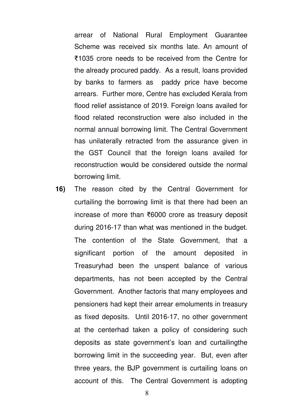arrear of National Rural Employment Guarantee Scheme was received six months late. An amount of ₹1035 crore needs to be received from the Centre for the already procured paddy. As a result, loans provided by banks to farmers as paddy price have become arrears. Further more, Centre has excluded Kerala from flood relief assistance of 2019. Foreign loans availed for flood related reconstruction were also included in the normal annual borrowing limit. The Central Government has unilaterally retracted from the assurance given in the GST Council that the foreign loans availed for reconstruction would be considered outside the normal borrowing limit.

**16)** The reason cited by the Central Government for curtailing the borrowing limit is that there had been an increase of more than ₹6000 crore as treasury deposit during 2016-17 than what was mentioned in the budget. The contention of the State Government, that a significant portion of the amount deposited in Treasuryhad been the unspent balance of various departments, has not been accepted by the Central Government. Another factoris that many employees and pensioners had kept their arrear emoluments in treasury as fixed deposits. Until 2016-17, no other government at the centerhad taken a policy of considering such deposits as state government's loan and curtailingthe borrowing limit in the succeeding year. But, even after three years, the BJP government is curtailing loans on account of this. The Central Government is adopting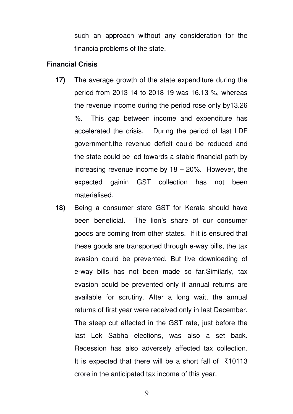such an approach without any consideration for the financialproblems of the state.

#### **Financial Crisis**

- **17)** The average growth of the state expenditure during the period from 2013-14 to 2018-19 was 16.13 %, whereas the revenue income during the period rose only by13.26 %. This gap between income and expenditure has accelerated the crisis. During the period of last LDF government,the revenue deficit could be reduced and the state could be led towards a stable financial path by increasing revenue income by 18 – 20%. However, the expected gainin GST collection has not been materialised.
- **18)** Being a consumer state GST for Kerala should have been beneficial. The lion's share of our consumer goods are coming from other states. If it is ensured that these goods are transported through e-way bills, the tax evasion could be prevented. But live downloading of e-way bills has not been made so far.Similarly, tax evasion could be prevented only if annual returns are available for scrutiny. After a long wait, the annual returns of first year were received only in last December. The steep cut effected in the GST rate, just before the last Lok Sabha elections, was also a set back. Recession has also adversely affected tax collection. It is expected that there will be a short fall of ₹10113 crore in the anticipated tax income of this year.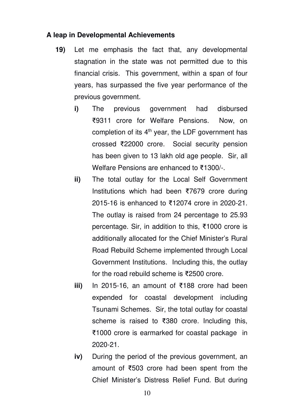# **A leap in Developmental Achievements**

- **19)** Let me emphasis the fact that, any developmental stagnation in the state was not permitted due to this financial crisis. This government, within a span of four years, has surpassed the five year performance of the previous government.
	- **i)** The previous government had disbursed ₹9311 crore for Welfare Pensions. Now, on completion of its  $4<sup>th</sup>$  year, the LDF government has crossed ₹22000 crore. Social security pension has been given to 13 lakh old age people. Sir, all Welfare Pensions are enhanced to ₹1300/-.
	- **ii)** The total outlay for the Local Self Government Institutions which had been ₹7679 crore during 2015-16 is enhanced to ₹12074 crore in 2020-21. The outlay is raised from 24 percentage to 25.93 percentage. Sir, in addition to this, ₹1000 crore is additionally allocated for the Chief Minister's Rural Road Rebuild Scheme implemented through Local Government Institutions. Including this, the outlay for the road rebuild scheme is ₹2500 crore.
	- **iii)** In 2015-16, an amount of ₹188 crore had been expended for coastal development including Tsunami Schemes. Sir, the total outlay for coastal scheme is raised to ₹380 crore. Including this, ₹1000 crore is earmarked for coastal package in 2020-21.
	- **iv)** During the period of the previous government, an amount of ₹503 crore had been spent from the Chief Minister's Distress Relief Fund. But during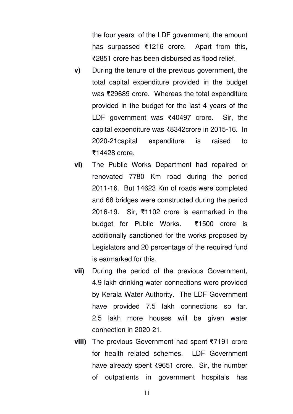the four years of the LDF government, the amount has surpassed ₹1216 crore. Apart from this, ₹2851 crore has been disbursed as flood relief.

- **v)** During the tenure of the previous government, the total capital expenditure provided in the budget was ₹29689 crore. Whereas the total expenditure provided in the budget for the last 4 years of the LDF government was ₹40497 crore. Sir, the capital expenditure was ₹8342crore in 2015-16. In 2020-21capital expenditure is raised to ₹14428 crore.
- **vi)** The Public Works Department had repaired or renovated 7780 Km road during the period 2011-16. But 14623 Km of roads were completed and 68 bridges were constructed during the period 2016-19. Sir, ₹1102 crore is earmarked in the budget for Public Works. ₹1500 crore is additionally sanctioned for the works proposed by Legislators and 20 percentage of the required fund is earmarked for this.
- **vii)** During the period of the previous Government, 4.9 lakh drinking water connections were provided by Kerala Water Authority. The LDF Government have provided 7.5 lakh connections so far. 2.5 lakh more houses will be given water connection in 2020-21.
- **viii)** The previous Government had spent ₹7191 crore for health related schemes. LDF Government have already spent ₹9651 crore. Sir, the number of outpatients in government hospitals has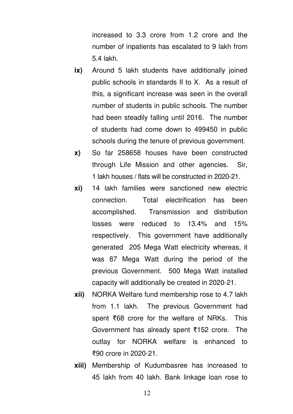increased to 3.3 crore from 1.2 crore and the number of inpatients has escalated to 9 lakh from 5.4 lakh.

- **ix)** Around 5 lakh students have additionally joined public schools in standards II to X. As a result of this, a significant increase was seen in the overall number of students in public schools. The number had been steadily falling until 2016. The number of students had come down to 499450 in public schools during the tenure of previous government.
- **x)** So far 258658 houses have been constructed through Life Mission and other agencies. Sir, 1 lakh houses / flats will be constructed in 2020-21.
- **xi)** 14 lakh families were sanctioned new electric connection. Total electrification has been accomplished. Transmission and distribution losses were reduced to 13.4% and 15% respectively. This government have additionally generated 205 Mega Watt electricity whereas, it was 87 Mega Watt during the period of the previous Government. 500 Mega Watt installed capacity will additionally be created in 2020-21.
- **xii)** NORKA Welfare fund membership rose to 4.7 lakh from 1.1 lakh. The previous Government had spent ₹68 crore for the welfare of NRKs. This Government has already spent ₹152 crore. The outlay for NORKA welfare is enhanced to ₹90 crore in 2020-21.
- **xiii)** Membership of Kudumbasree has increased to 45 lakh from 40 lakh. Bank linkage loan rose to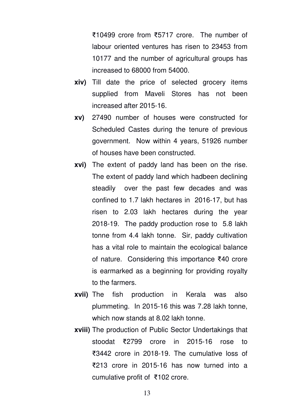₹10499 crore from ₹5717 crore. The number of labour oriented ventures has risen to 23453 from 10177 and the number of agricultural groups has increased to 68000 from 54000.

- **xiv)** Till date the price of selected grocery items supplied from Maveli Stores has not been increased after 2015-16.
- **xv)** 27490 number of houses were constructed for Scheduled Castes during the tenure of previous government. Now within 4 years, 51926 number of houses have been constructed.
- **xvi)** The extent of paddy land has been on the rise. The extent of paddy land which hadbeen declining steadily over the past few decades and was confined to 1.7 lakh hectares in 2016-17, but has risen to 2.03 lakh hectares during the year 2018-19. The paddy production rose to 5.8 lakh tonne from 4.4 lakh tonne. Sir, paddy cultivation has a vital role to maintain the ecological balance of nature. Considering this importance ₹40 crore is earmarked as a beginning for providing royalty to the farmers.
- **xvii)** The fish production in Kerala was also plummeting. In 2015-16 this was 7.28 lakh tonne, which now stands at 8.02 lakh tonne.
- **xviii)** The production of Public Sector Undertakings that stoodat ₹2799 crore in 2015-16 rose to ₹3442 crore in 2018-19. The cumulative loss of ₹213 crore in 2015-16 has now turned into a cumulative profit of ₹102 crore.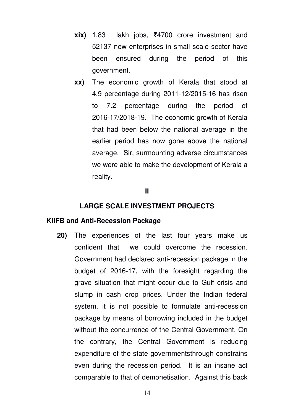- **xix)** 1.83 lakh jobs, ₹4700 crore investment and 52137 new enterprises in small scale sector have been ensured during the period of this government.
- **xx)** The economic growth of Kerala that stood at 4.9 percentage during 2011-12/2015-16 has risen to 7.2 percentage during the period of 2016-17/2018-19. The economic growth of Kerala that had been below the national average in the earlier period has now gone above the national average. Sir, surmounting adverse circumstances we were able to make the development of Kerala a reality.

#### **II**

#### **LARGE SCALE INVESTMENT PROJECTS**

#### **KIIFB and Anti-Recession Package**

**20)** The experiences of the last four years make us confident that we could overcome the recession. Government had declared anti-recession package in the budget of 2016-17, with the foresight regarding the grave situation that might occur due to Gulf crisis and slump in cash crop prices. Under the Indian federal system, it is not possible to formulate anti-recession package by means of borrowing included in the budget without the concurrence of the Central Government. On the contrary, the Central Government is reducing expenditure of the state governmentsthrough constrains even during the recession period. It is an insane act comparable to that of demonetisation. Against this back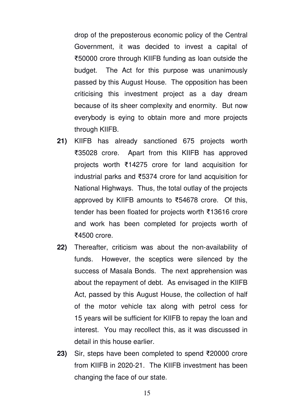drop of the preposterous economic policy of the Central Government, it was decided to invest a capital of ₹50000 crore through KIIFB funding as loan outside the budget. The Act for this purpose was unanimously passed by this August House. The opposition has been criticising this investment project as a day dream because of its sheer complexity and enormity. But now everybody is eying to obtain more and more projects through KIIFB.

- **21)** KIIFB has already sanctioned 675 projects worth ₹35028 crore. Apart from this KIIFB has approved projects worth ₹14275 crore for land acquisition for industrial parks and ₹5374 crore for land acquisition for National Highways. Thus, the total outlay of the projects approved by KIIFB amounts to ₹54678 crore. Of this, tender has been floated for projects worth ₹13616 crore and work has been completed for projects worth of ₹4500 crore.
- **22)** Thereafter, criticism was about the non-availability of funds. However, the sceptics were silenced by the success of Masala Bonds. The next apprehension was about the repayment of debt. As envisaged in the KIIFB Act, passed by this August House, the collection of half of the motor vehicle tax along with petrol cess for 15 years will be sufficient for KIIFB to repay the loan and interest. You may recollect this, as it was discussed in detail in this house earlier.
- **23)** Sir, steps have been completed to spend ₹20000 crore from KIIFB in 2020-21. The KIIFB investment has been changing the face of our state.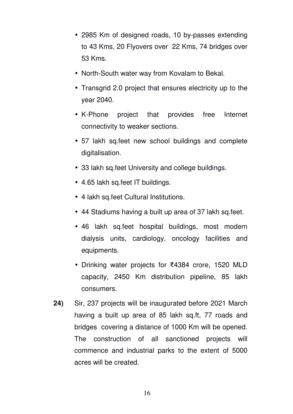- 2985 Km of designed roads, 10 by-passes extending to 43 Kms, 20 Flyovers over 22 Kms, 74 bridges over 53 Kms.
- North-South water way from Kovalam to Bekal.
- Transgrid 2.0 project that ensures electricity up to the year 2040.
- K-Phone project that provides free Internet connectivity to weaker sections.
- 57 lakh sq.feet new school buildings and complete digitalisation.
- 33 lakh sq.feet University and college buildings.
- 4.65 lakh sq.feet IT buildings.
- 4 lakh sq.feet Cultural Institutions.
- 44 Stadiums having a built up area of 37 lakh sq.feet.
- 46 lakh sq.feet hospital buildings, most modern dialysis units, cardiology, oncology facilities and equipments.
- Drinking water projects for ₹4384 crore, 1520 MLD capacity, 2450 Km distribution pipeline, 85 lakh consumers.
- **24)** Sir, 237 projects will be inaugurated before 2021 March having a built up area of 85 lakh sq.ft, 77 roads and bridges covering a distance of 1000 Km will be opened. The construction of all sanctioned projects will commence and industrial parks to the extent of 5000 acres will be created.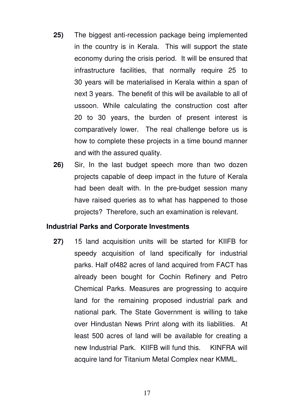- **25)** The biggest anti-recession package being implemented in the country is in Kerala. This will support the state economy during the crisis period. It will be ensured that infrastructure facilities, that normally require 25 to 30 years will be materialised in Kerala within a span of next 3 years. The benefit of this will be available to all of ussoon. While calculating the construction cost after 20 to 30 years, the burden of present interest is comparatively lower. The real challenge before us is how to complete these projects in a time bound manner and with the assured quality.
- **26)** Sir, In the last budget speech more than two dozen projects capable of deep impact in the future of Kerala had been dealt with. In the pre-budget session many have raised queries as to what has happened to those projects? Therefore, such an examination is relevant.

# **Industrial Parks and Corporate Investments**

**27)** 15 land acquisition units will be started for KIIFB for speedy acquisition of land specifically for industrial parks. Half of482 acres of land acquired from FACT has already been bought for Cochin Refinery and Petro Chemical Parks. Measures are progressing to acquire land for the remaining proposed industrial park and national park. The State Government is willing to take over Hindustan News Print along with its liabilities. At least 500 acres of land will be available for creating a new Industrial Park. KIIFB will fund this. KINFRA will acquire land for Titanium Metal Complex near KMML.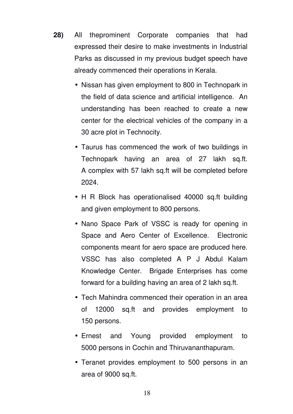- **28)** All theprominent Corporate companies that had expressed their desire to make investments in Industrial Parks as discussed in my previous budget speech have already commenced their operations in Kerala.
	- Nissan has given employment to 800 in Technopark in the field of data science and artificial intelligence. An understanding has been reached to create a new center for the electrical vehicles of the company in a 30 acre plot in Technocity.
	- Taurus has commenced the work of two buildings in Technopark having an area of 27 lakh sq.ft. A complex with 57 lakh sq.ft will be completed before 2024.
	- H R Block has operationalised 40000 sq.ft building and given employment to 800 persons.
	- Nano Space Park of VSSC is ready for opening in Space and Aero Center of Excellence. Electronic components meant for aero space are produced here. VSSC has also completed A P J Abdul Kalam Knowledge Center. Brigade Enterprises has come forward for a building having an area of 2 lakh sq.ft.
	- Tech Mahindra commenced their operation in an area of 12000 sq.ft and provides employment to 150 persons.
	- Ernest and Young provided employment to 5000 persons in Cochin and Thiruvananthapuram.
	- Teranet provides employment to 500 persons in an area of 9000 sq.ft.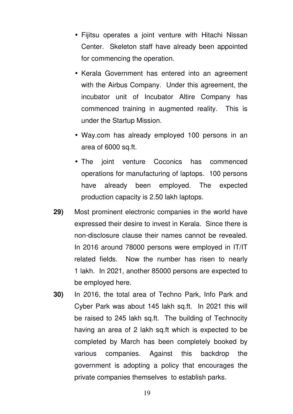- Fijitsu operates a joint venture with Hitachi Nissan Center. Skeleton staff have already been appointed for commencing the operation.
- Kerala Government has entered into an agreement with the Airbus Company. Under this agreement, the incubator unit of Incubator Altire Company has commenced training in augmented reality. This is under the Startup Mission.
- Way.com has already employed 100 persons in an area of 6000 sq.ft.
- The joint venture Coconics has commenced operations for manufacturing of laptops. 100 persons have already been employed. The expected production capacity is 2.50 lakh laptops.
- **29)** Most prominent electronic companies in the world have expressed their desire to invest in Kerala. Since there is non-disclosure clause their names cannot be revealed. In 2016 around 78000 persons were employed in IT/IT related fields. Now the number has risen to nearly 1 lakh. In 2021, another 85000 persons are expected to be employed here.
- **30)** In 2016, the total area of Techno Park, Info Park and Cyber Park was about 145 lakh sq.ft. In 2021 this will be raised to 245 lakh sq.ft. The building of Technocity having an area of 2 lakh sq.ft which is expected to be completed by March has been completely booked by various companies. Against this backdrop the government is adopting a policy that encourages the private companies themselves to establish parks.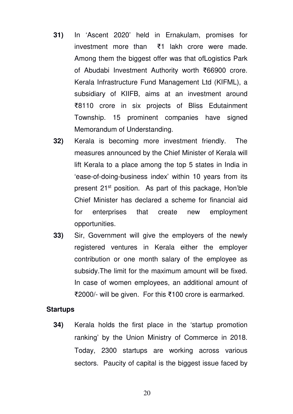- **31)** In 'Ascent 2020' held in Ernakulam, promises for investment more than ₹1 lakh crore were made. Among them the biggest offer was that ofLogistics Park of Abudabi Investment Authority worth ₹66900 crore. Kerala Infrastructure Fund Management Ltd (KIFML), a subsidiary of KIIFB, aims at an investment around ₹8110 crore in six projects of Bliss Edutainment Township. 15 prominent companies have signed Memorandum of Understanding.
- **32)** Kerala is becoming more investment friendly. The measures announced by the Chief Minister of Kerala will lift Kerala to a place among the top 5 states in India in 'ease-of-doing-business index' within 10 years from its present 21<sup>st</sup> position. As part of this package, Hon'ble Chief Minister has declared a scheme for financial aid for enterprises that create new employment opportunities.
- **33)** Sir, Government will give the employers of the newly registered ventures in Kerala either the employer contribution or one month salary of the employee as subsidy.The limit for the maximum amount will be fixed. In case of women employees, an additional amount of ₹2000/- will be given. For this ₹100 crore is earmarked.

#### **Startups**

**34)** Kerala holds the first place in the 'startup promotion ranking' by the Union Ministry of Commerce in 2018. Today, 2300 startups are working across various sectors. Paucity of capital is the biggest issue faced by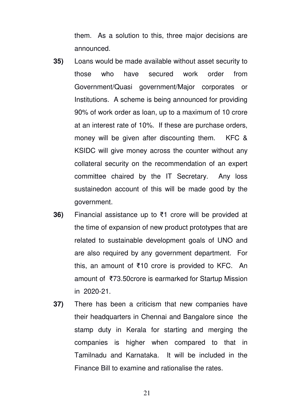them. As a solution to this, three major decisions are announced.

- **35)** Loans would be made available without asset security to those who have secured work order from Government/Quasi government/Major corporates or Institutions. A scheme is being announced for providing 90% of work order as loan, up to a maximum of 10 crore at an interest rate of 10%. If these are purchase orders, money will be given after discounting them. KFC & KSIDC will give money across the counter without any collateral security on the recommendation of an expert committee chaired by the IT Secretary. Any loss sustainedon account of this will be made good by the government.
- **36)** Financial assistance up to ₹1 crore will be provided at the time of expansion of new product prototypes that are related to sustainable development goals of UNO and are also required by any government department. For this, an amount of ₹10 crore is provided to KFC. An amount of ₹73.50crore is earmarked for Startup Mission in 2020-21.
- **37)** There has been a criticism that new companies have their headquarters in Chennai and Bangalore since the stamp duty in Kerala for starting and merging the companies is higher when compared to that in Tamilnadu and Karnataka. It will be included in the Finance Bill to examine and rationalise the rates.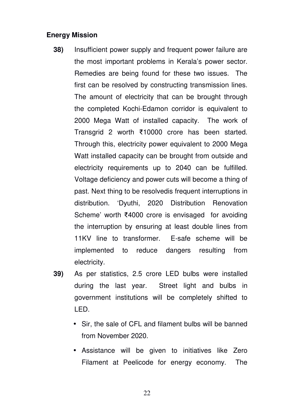# **Energy Mission**

- **38)** Insufficient power supply and frequent power failure are the most important problems in Kerala's power sector. Remedies are being found for these two issues. The first can be resolved by constructing transmission lines. The amount of electricity that can be brought through the completed Kochi-Edamon corridor is equivalent to 2000 Mega Watt of installed capacity. The work of Transgrid 2 worth ₹10000 crore has been started. Through this, electricity power equivalent to 2000 Mega Watt installed capacity can be brought from outside and electricity requirements up to 2040 can be fulfilled. Voltage deficiency and power cuts will become a thing of past. Next thing to be resolvedis frequent interruptions in distribution. 'Dyuthi, 2020 Distribution Renovation Scheme' worth ₹4000 crore is envisaged for avoiding the interruption by ensuring at least double lines from 11KV line to transformer. E-safe scheme will be implemented to reduce dangers resulting from electricity.
- **39)** As per statistics, 2.5 crore LED bulbs were installed during the last year. Street light and bulbs in government institutions will be completely shifted to LED.
	- Sir, the sale of CFL and filament bulbs will be banned from November 2020.
	- Assistance will be given to initiatives like Zero Filament at Peelicode for energy economy. The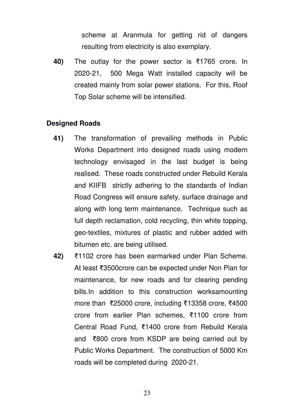scheme at Aranmula for getting rid of dangers resulting from electricity is also exemplary.

**40)** The outlay for the power sector is ₹1765 crore. In 2020-21, 500 Mega Watt installed capacity will be created mainly from solar power stations. For this, Roof Top Solar scheme will be intensified.

# **Designed Roads**

- **41)** The transformation of prevailing methods in Public Works Department into designed roads using modern technology envisaged in the last budget is being realised. These roads constructed under Rebuild Kerala and KIIFB strictly adhering to the standards of Indian Road Congress will ensure safety, surface drainage and along with long term maintenance. Technique such as full depth reclamation, cold recycling, thin white topping, geo-textiles, mixtures of plastic and rubber added with bitumen etc. are being utilised.
- **42)** ₹1102 crore has been earmarked under Plan Scheme. At least ₹3500crore can be expected under Non Plan for maintenance, for new roads and for clearing pending bills.In addition to this construction worksamounting more than ₹25000 crore, including ₹13358 crore, ₹4500 crore from earlier Plan schemes, ₹1100 crore from Central Road Fund, ₹1400 crore from Rebuild Kerala and ₹800 crore from KSDP are being carried out by Public Works Department. The construction of 5000 Km roads will be completed during 2020-21.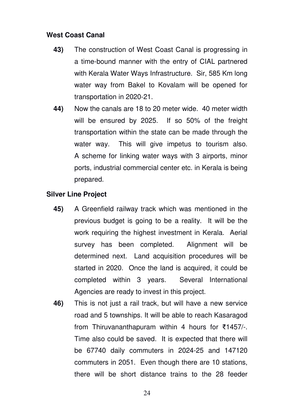# **West Coast Canal**

- **43)** The construction of West Coast Canal is progressing in a time-bound manner with the entry of CIAL partnered with Kerala Water Ways Infrastructure. Sir, 585 Km long water way from Bakel to Kovalam will be opened for transportation in 2020-21.
- **44)** Now the canals are 18 to 20 meter wide. 40 meter width will be ensured by 2025. If so 50% of the freight transportation within the state can be made through the water way. This will give impetus to tourism also. A scheme for linking water ways with 3 airports, minor ports, industrial commercial center etc. in Kerala is being prepared.

# **Silver Line Project**

- **45)** A Greenfield railway track which was mentioned in the previous budget is going to be a reality. It will be the work requiring the highest investment in Kerala. Aerial survey has been completed. Alignment will be determined next. Land acquisition procedures will be started in 2020. Once the land is acquired, it could be completed within 3 years. Several International Agencies are ready to invest in this project.
- **46)** This is not just a rail track, but will have a new service road and 5 townships. It will be able to reach Kasaragod from Thiruvananthapuram within 4 hours for ₹1457/-. Time also could be saved. It is expected that there will be 67740 daily commuters in 2024-25 and 147120 commuters in 2051. Even though there are 10 stations, there will be short distance trains to the 28 feeder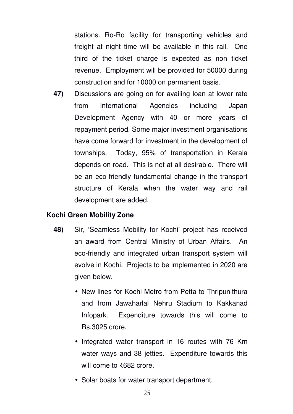stations. Ro-Ro facility for transporting vehicles and freight at night time will be available in this rail. One third of the ticket charge is expected as non ticket revenue. Employment will be provided for 50000 during construction and for 10000 on permanent basis.

**47)** Discussions are going on for availing loan at lower rate from International Agencies including Japan Development Agency with 40 or more years of repayment period. Some major investment organisations have come forward for investment in the development of townships. Today, 95% of transportation in Kerala depends on road. This is not at all desirable. There will be an eco-friendly fundamental change in the transport structure of Kerala when the water way and rail development are added.

# **Kochi Green Mobility Zone**

- **48)** Sir, 'Seamless Mobility for Kochi' project has received an award from Central Ministry of Urban Affairs. An eco-friendly and integrated urban transport system will evolve in Kochi. Projects to be implemented in 2020 are given below.
	- New lines for Kochi Metro from Petta to Thripunithura and from Jawaharlal Nehru Stadium to Kakkanad Infopark. Expenditure towards this will come to Rs.3025 crore.
	- Integrated water transport in 16 routes with 76 Km water ways and 38 jetties. Expenditure towards this will come to ₹682 crore.
	- Solar boats for water transport department.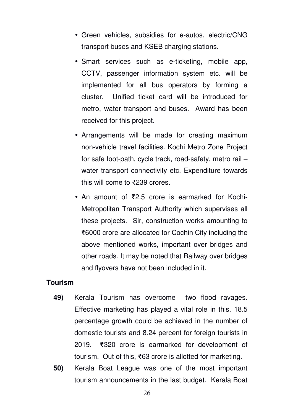- Green vehicles, subsidies for e-autos, electric/CNG transport buses and KSEB charging stations.
- Smart services such as e-ticketing, mobile app, CCTV, passenger information system etc. will be implemented for all bus operators by forming a cluster. Unified ticket card will be introduced for metro, water transport and buses. Award has been received for this project.
- Arrangements will be made for creating maximum non-vehicle travel facilities. Kochi Metro Zone Project for safe foot-path, cycle track, road-safety, metro rail – water transport connectivity etc. Expenditure towards this will come to ₹239 crores.
- An amount of ₹2.5 crore is earmarked for Kochi-Metropolitan Transport Authority which supervises all these projects. Sir, construction works amounting to ₹6000 crore are allocated for Cochin City including the above mentioned works, important over bridges and other roads. It may be noted that Railway over bridges and flyovers have not been included in it.

## **Tourism**

- **49)** Kerala Tourism has overcome two flood ravages. Effective marketing has played a vital role in this. 18.5 percentage growth could be achieved in the number of domestic tourists and 8.24 percent for foreign tourists in 2019. ₹320 crore is earmarked for development of tourism. Out of this, ₹63 crore is allotted for marketing.
- **50)** Kerala Boat League was one of the most important tourism announcements in the last budget. Kerala Boat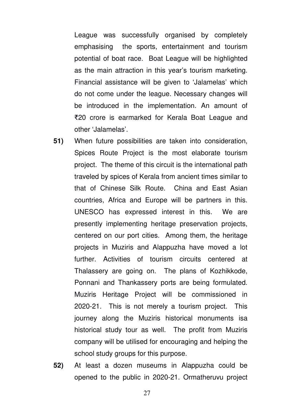League was successfully organised by completely emphasising the sports, entertainment and tourism potential of boat race. Boat League will be highlighted as the main attraction in this year's tourism marketing. Financial assistance will be given to 'Jalamelas' which do not come under the league. Necessary changes will be introduced in the implementation. An amount of ₹20 crore is earmarked for Kerala Boat League and other 'Jalamelas'.

- **51)** When future possibilities are taken into consideration, Spices Route Project is the most elaborate tourism project. The theme of this circuit is the international path traveled by spices of Kerala from ancient times similar to that of Chinese Silk Route. China and East Asian countries, Africa and Europe will be partners in this. UNESCO has expressed interest in this. We are presently implementing heritage preservation projects, centered on our port cities. Among them, the heritage projects in Muziris and Alappuzha have moved a lot further. Activities of tourism circuits centered at Thalassery are going on. The plans of Kozhikkode, Ponnani and Thankassery ports are being formulated. Muziris Heritage Project will be commissioned in 2020-21. This is not merely a tourism project. This journey along the Muziris historical monuments isa historical study tour as well. The profit from Muziris company will be utilised for encouraging and helping the school study groups for this purpose.
- **52)** At least a dozen museums in Alappuzha could be opened to the public in 2020-21. Ormatheruvu project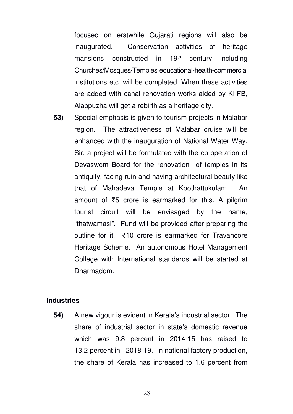focused on erstwhile Gujarati regions will also be inaugurated. Conservation activities of heritage mansions constructed in  $19<sup>th</sup>$  century including Churches/Mosques/Temples educational-health-commercial institutions etc. will be completed. When these activities are added with canal renovation works aided by KIIFB, Alappuzha will get a rebirth as a heritage city.

**53)** Special emphasis is given to tourism projects in Malabar region. The attractiveness of Malabar cruise will be enhanced with the inauguration of National Water Way. Sir, a project will be formulated with the co-operation of Devaswom Board for the renovation of temples in its antiquity, facing ruin and having architectural beauty like that of Mahadeva Temple at Koothattukulam. An amount of ₹5 crore is earmarked for this. A pilgrim tourist circuit will be envisaged by the name, "thatwamasi". Fund will be provided after preparing the outline for it. ₹10 crore is earmarked for Travancore Heritage Scheme. An autonomous Hotel Management College with International standards will be started at Dharmadom.

# **Industries**

**54)** A new vigour is evident in Kerala's industrial sector. The share of industrial sector in state's domestic revenue which was 9.8 percent in 2014-15 has raised to 13.2 percent in 2018-19. In national factory production, the share of Kerala has increased to 1.6 percent from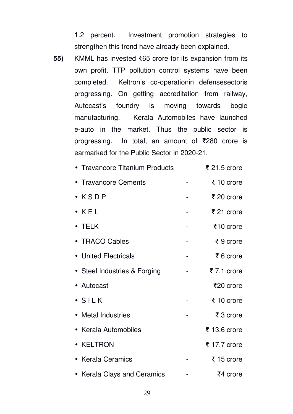1.2 percent. Investment promotion strategies to strengthen this trend have already been explained.

**55)** KMML has invested ₹65 crore for its expansion from its own profit. TTP pollution control systems have been completed. Keltron's co-operationin defensesectoris progressing. On getting accreditation from railway, Autocast's foundry is moving towards bogie manufacturing. Kerala Automobiles have launched e-auto in the market. Thus the public sector is progressing. In total, an amount of ₹280 crore is earmarked for the Public Sector in 2020-21.

| • Travancore Titanium Products | ₹ 21.5 crore |
|--------------------------------|--------------|
| • Travancore Cements           | ₹ 10 crore   |
| $\bullet$ $KSDP$               | ₹ 20 crore   |
| $\bullet$ KEL                  | ₹ 21 crore   |
| • TELK                         | ₹10 crore    |
| • TRACO Cables                 | ₹9 crore     |
| • United Electricals           | ₹ 6 crore    |
| • Steel Industries & Forging   | ₹7.1 crore   |
| • Autocast                     | ₹20 crore    |
| $\bullet$ SILK                 | ₹ 10 crore   |
| • Metal Industries             | ₹ 3 crore    |
| • Kerala Automobiles           | ₹ 13.6 crore |
| • KELTRON                      | ₹ 17.7 crore |
| • Kerala Ceramics              | ₹15 crore    |
| • Kerala Clays and Ceramics    | ₹4 crore     |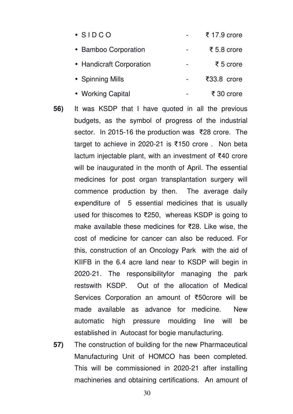| $\bullet$ SIDCO          | ₹ 17.9 crore                     |
|--------------------------|----------------------------------|
| • Bamboo Corporation     | ₹ 5.8 crore                      |
| • Handicraft Corporation | ₹ 5 crore                        |
| • Spinning Mills         | $\text{\textsterling}33.8$ crore |
| • Working Capital        | ₹ 30 crore                       |

- **56)** It was KSDP that I have quoted in all the previous budgets, as the symbol of progress of the industrial sector. In 2015-16 the production was ₹28 crore. The target to achieve in 2020-21 is ₹150 crore . Non beta lactum injectable plant, with an investment of ₹40 crore will be inaugurated in the month of April. The essential medicines for post organ transplantation surgery will commence production by then. The average daily expenditure of 5 essential medicines that is usually used for thiscomes to ₹250, whereas KSDP is going to make available these medicines for ₹28. Like wise, the cost of medicine for cancer can also be reduced. For this, construction of an Oncology Park with the aid of KIIFB in the 6.4 acre land near to KSDP will begin in 2020-21. The responsibilityfor managing the park restswith KSDP. Out of the allocation of Medical Services Corporation an amount of ₹50crore will be made available as advance for medicine. New automatic high pressure moulding line will be established in Autocast for bogie manufacturing.
- **57)** The construction of building for the new Pharmaceutical Manufacturing Unit of HOMCO has been completed. This will be commissioned in 2020-21 after installing machineries and obtaining certifications. An amount of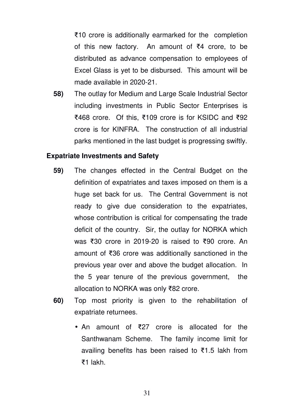₹10 crore is additionally earmarked for the completion of this new factory. An amount of ₹4 crore, to be distributed as advance compensation to employees of Excel Glass is yet to be disbursed. This amount will be made available in 2020-21.

**58)** The outlay for Medium and Large Scale Industrial Sector including investments in Public Sector Enterprises is ₹468 crore. Of this, ₹109 crore is for KSIDC and ₹92 crore is for KINFRA. The construction of all industrial parks mentioned in the last budget is progressing swiftly.

#### **Expatriate Investments and Safety**

- **59)** The changes effected in the Central Budget on the definition of expatriates and taxes imposed on them is a huge set back for us. The Central Government is not ready to give due consideration to the expatriates, whose contribution is critical for compensating the trade deficit of the country. Sir, the outlay for NORKA which was ₹30 crore in 2019-20 is raised to ₹90 crore. An amount of ₹36 crore was additionally sanctioned in the previous year over and above the budget allocation. In the 5 year tenure of the previous government, the allocation to NORKA was only ₹82 crore.
- **60)** Top most priority is given to the rehabilitation of expatriate returnees.
	- An amount of ₹27 crore is allocated for the Santhwanam Scheme. The family income limit for availing benefits has been raised to ₹1.5 lakh from ₹1 lakh.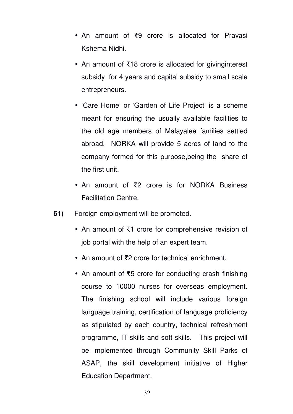- An amount of ₹9 crore is allocated for Pravasi Kshema Nidhi.
- An amount of ₹18 crore is allocated for givinginterest subsidy for 4 years and capital subsidy to small scale entrepreneurs.
- 'Care Home' or 'Garden of Life Project' is a scheme meant for ensuring the usually available facilities to the old age members of Malayalee families settled abroad. NORKA will provide 5 acres of land to the company formed for this purpose,being the share of the first unit.
- An amount of ₹2 crore is for NORKA Business Facilitation Centre.
- **61)** Foreign employment will be promoted.
	- An amount of ₹1 crore for comprehensive revision of job portal with the help of an expert team.
	- An amount of ₹2 crore for technical enrichment.
	- An amount of ₹5 crore for conducting crash finishing course to 10000 nurses for overseas employment. The finishing school will include various foreign language training, certification of language proficiency as stipulated by each country, technical refreshment programme, IT skills and soft skills. This project will be implemented through Community Skill Parks of ASAP, the skill development initiative of Higher Education Department.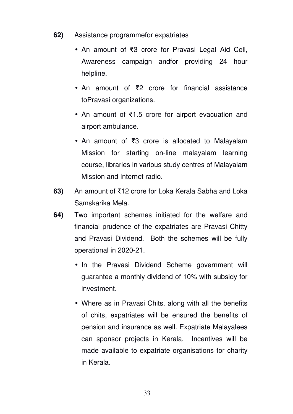- **62)** Assistance programmefor expatriates
	- An amount of ₹3 crore for Pravasi Legal Aid Cell, Awareness campaign andfor providing 24 hour helpline.
	- An amount of ₹2 crore for financial assistance toPravasi organizations.
	- An amount of ₹1.5 crore for airport evacuation and airport ambulance.
	- An amount of ₹3 crore is allocated to Malayalam Mission for starting on-line malayalam learning course, libraries in various study centres of Malayalam Mission and Internet radio.
- **63)** An amount of ₹12 crore for Loka Kerala Sabha and Loka Samskarika Mela.
- **64)** Two important schemes initiated for the welfare and financial prudence of the expatriates are Pravasi Chitty and Pravasi Dividend. Both the schemes will be fully operational in 2020-21.
	- In the Pravasi Dividend Scheme government will guarantee a monthly dividend of 10% with subsidy for investment.
	- Where as in Pravasi Chits, along with all the benefits of chits, expatriates will be ensured the benefits of pension and insurance as well. Expatriate Malayalees can sponsor projects in Kerala. Incentives will be made available to expatriate organisations for charity in Kerala.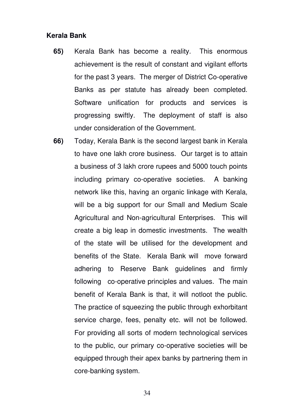## **Kerala Bank**

- **65)** Kerala Bank has become a reality. This enormous achievement is the result of constant and vigilant efforts for the past 3 years. The merger of District Co-operative Banks as per statute has already been completed. Software unification for products and services is progressing swiftly. The deployment of staff is also under consideration of the Government.
- **66)** Today, Kerala Bank is the second largest bank in Kerala to have one lakh crore business. Our target is to attain a business of 3 lakh crore rupees and 5000 touch points including primary co-operative societies. A banking network like this, having an organic linkage with Kerala, will be a big support for our Small and Medium Scale Agricultural and Non-agricultural Enterprises. This will create a big leap in domestic investments. The wealth of the state will be utilised for the development and benefits of the State. Kerala Bank will move forward adhering to Reserve Bank guidelines and firmly following co-operative principles and values. The main benefit of Kerala Bank is that, it will notloot the public. The practice of squeezing the public through exhorbitant service charge, fees, penalty etc. will not be followed. For providing all sorts of modern technological services to the public, our primary co-operative societies will be equipped through their apex banks by partnering them in core-banking system.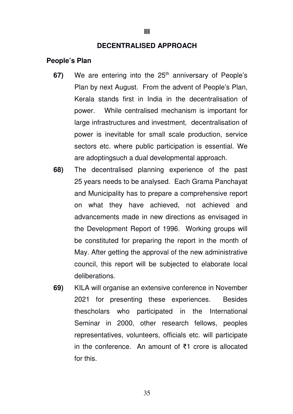#### **III**

#### **DECENTRALISED APPROACH**

#### **People's Plan**

- 67) We are entering into the 25<sup>th</sup> anniversary of People's Plan by next August. From the advent of People's Plan, Kerala stands first in India in the decentralisation of power. While centralised mechanism is important for large infrastructures and investment, decentralisation of power is inevitable for small scale production, service sectors etc. where public participation is essential. We are adoptingsuch a dual developmental approach.
- **68)** The decentralised planning experience of the past 25 years needs to be analysed. Each Grama Panchayat and Municipality has to prepare a comprehensive report on what they have achieved, not achieved and advancements made in new directions as envisaged in the Development Report of 1996. Working groups will be constituted for preparing the report in the month of May. After getting the approval of the new administrative council, this report will be subjected to elaborate local deliberations.
- **69)** KILA will organise an extensive conference in November 2021 for presenting these experiences. Besides thescholars who participated in the International Seminar in 2000, other research fellows, peoples representatives, volunteers, officials etc. will participate in the conference. An amount of ₹1 crore is allocated for this.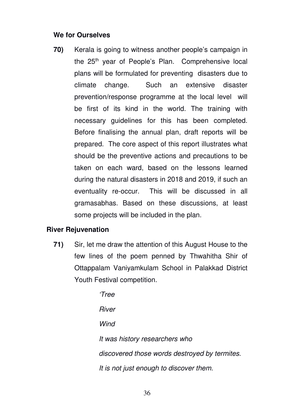## **We for Ourselves**

**70)** Kerala is going to witness another people's campaign in the  $25<sup>th</sup>$  year of People's Plan. Comprehensive local plans will be formulated for preventing disasters due to climate change. Such an extensive disaster prevention/response programme at the local level will be first of its kind in the world. The training with necessary guidelines for this has been completed. Before finalising the annual plan, draft reports will be prepared. The core aspect of this report illustrates what should be the preventive actions and precautions to be taken on each ward, based on the lessons learned during the natural disasters in 2018 and 2019, if such an eventuality re-occur. This will be discussed in all gramasabhas. Based on these discussions, at least some projects will be included in the plan.

## **River Rejuvenation**

**71)** Sir, let me draw the attention of this August House to the few lines of the poem penned by Thwahitha Shir of Ottappalam Vaniyamkulam School in Palakkad District Youth Festival competition.

> 'Tree River **Wind** It was history researchers who discovered those words destroyed by termites. It is not just enough to discover them.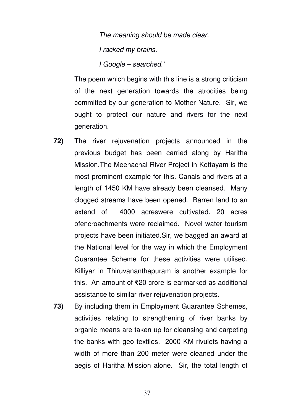The meaning should be made clear. I racked my brains. I Google – searched.'

The poem which begins with this line is a strong criticism of the next generation towards the atrocities being committed by our generation to Mother Nature. Sir, we ought to protect our nature and rivers for the next generation.

- **72)** The river rejuvenation projects announced in the previous budget has been carried along by Haritha Mission.The Meenachal River Project in Kottayam is the most prominent example for this. Canals and rivers at a length of 1450 KM have already been cleansed. Many clogged streams have been opened. Barren land to an extend of 4000 acreswere cultivated. 20 acres ofencroachments were reclaimed. Novel water tourism projects have been initiated.Sir, we bagged an award at the National level for the way in which the Employment Guarantee Scheme for these activities were utilised. Killiyar in Thiruvananthapuram is another example for this. An amount of ₹20 crore is earmarked as additional assistance to similar river rejuvenation projects.
- **73)** By including them in Employment Guarantee Schemes, activities relating to strengthening of river banks by organic means are taken up for cleansing and carpeting the banks with geo textiles. 2000 KM rivulets having a width of more than 200 meter were cleaned under the aegis of Haritha Mission alone. Sir, the total length of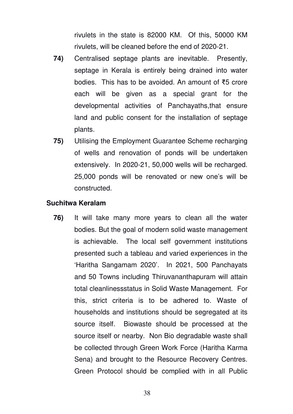rivulets in the state is 82000 KM. Of this, 50000 KM rivulets, will be cleaned before the end of 2020-21.

- **74)** Centralised septage plants are inevitable. Presently, septage in Kerala is entirely being drained into water bodies. This has to be avoided. An amount of ₹5 crore each will be given as a special grant for the developmental activities of Panchayaths,that ensure land and public consent for the installation of septage plants.
- **75)** Utilising the Employment Guarantee Scheme recharging of wells and renovation of ponds will be undertaken extensively. In 2020-21, 50,000 wells will be recharged. 25,000 ponds will be renovated or new one's will be constructed.

### **Suchitwa Keralam**

**76)** It will take many more years to clean all the water bodies. But the goal of modern solid waste management is achievable. The local self government institutions presented such a tableau and varied experiences in the 'Haritha Sangamam 2020'. In 2021, 500 Panchayats and 50 Towns including Thiruvananthapuram will attain total cleanlinessstatus in Solid Waste Management. For this, strict criteria is to be adhered to. Waste of households and institutions should be segregated at its source itself. Biowaste should be processed at the source itself or nearby. Non Bio degradable waste shall be collected through Green Work Force (Haritha Karma Sena) and brought to the Resource Recovery Centres. Green Protocol should be complied with in all Public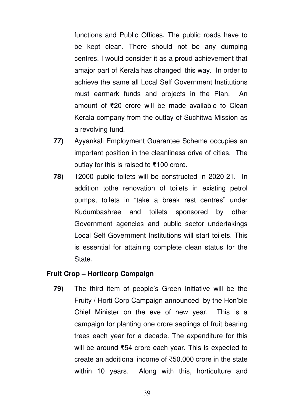functions and Public Offices. The public roads have to be kept clean. There should not be any dumping centres. I would consider it as a proud achievement that amajor part of Kerala has changed this way. In order to achieve the same all Local Self Government Institutions must earmark funds and projects in the Plan. An amount of ₹20 crore will be made available to Clean Kerala company from the outlay of Suchitwa Mission as a revolving fund.

- **77)** Ayyankali Employment Guarantee Scheme occupies an important position in the cleanliness drive of cities. The outlay for this is raised to ₹100 crore.
- **78)** 12000 public toilets will be constructed in 2020-21. In addition tothe renovation of toilets in existing petrol pumps, toilets in "take a break rest centres" under Kudumbashree and toilets sponsored by other Government agencies and public sector undertakings Local Self Government Institutions will start toilets. This is essential for attaining complete clean status for the State.

### **Fruit Crop – Horticorp Campaign**

**79)** The third item of people's Green Initiative will be the Fruity / Horti Corp Campaign announced by the Hon'ble Chief Minister on the eve of new year. This is a campaign for planting one crore saplings of fruit bearing trees each year for a decade. The expenditure for this will be around ₹54 crore each year. This is expected to create an additional income of ₹50,000 crore in the state within 10 years. Along with this, horticulture and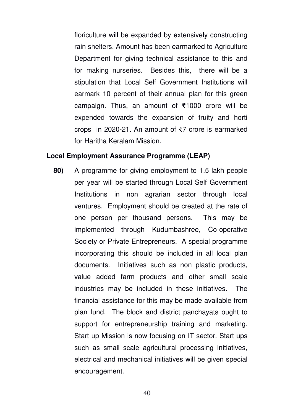floriculture will be expanded by extensively constructing rain shelters. Amount has been earmarked to Agriculture Department for giving technical assistance to this and for making nurseries. Besides this, there will be a stipulation that Local Self Government Institutions will earmark 10 percent of their annual plan for this green campaign. Thus, an amount of ₹1000 crore will be expended towards the expansion of fruity and horti crops in 2020-21. An amount of ₹7 crore is earmarked for Haritha Keralam Mission.

#### **Local Employment Assurance Programme (LEAP)**

**80)** A programme for giving employment to 1.5 lakh people per year will be started through Local Self Government Institutions in non agrarian sector through local ventures. Employment should be created at the rate of one person per thousand persons. This may be implemented through Kudumbashree, Co-operative Society or Private Entrepreneurs. A special programme incorporating this should be included in all local plan documents. Initiatives such as non plastic products, value added farm products and other small scale industries may be included in these initiatives. The financial assistance for this may be made available from plan fund. The block and district panchayats ought to support for entrepreneurship training and marketing. Start up Mission is now focusing on IT sector. Start ups such as small scale agricultural processing initiatives, electrical and mechanical initiatives will be given special encouragement.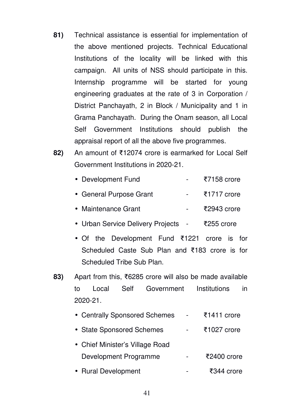- **81)** Technical assistance is essential for implementation of the above mentioned projects. Technical Educational Institutions of the locality will be linked with this campaign. All units of NSS should participate in this. Internship programme will be started for young engineering graduates at the rate of 3 in Corporation / District Panchayath, 2 in Block / Municipality and 1 in Grama Panchayath. During the Onam season, all Local Self Government Institutions should publish the appraisal report of all the above five programmes.
- **82)** An amount of ₹12074 crore is earmarked for Local Self Government Institutions in 2020-21.

- General Purpose Grant ₹1717 crore
- Maintenance Grant ₹2943 crore
- Urban Service Delivery Projects ₹255 crore
- Of the Development Fund ₹1221 crore is for Scheduled Caste Sub Plan and ₹183 crore is for Scheduled Tribe Sub Plan.
- **83)** Apart from this, ₹6285 crore will also be made available to Local Self Government Institutions in 2020-21.

| • Centrally Sponsored Schemes   | $\overline{5}1411$ crore |
|---------------------------------|--------------------------|
| • State Sponsored Schemes       | ₹1027 crore              |
| • Chief Minister's Village Road |                          |
| Development Programme           | ₹2400 crore              |
| • Rural Development             | ₹344 crore               |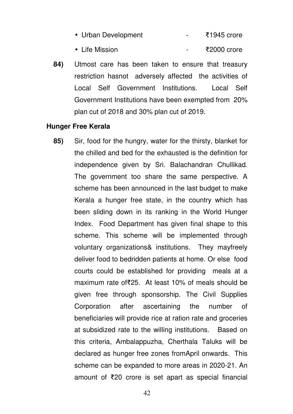- Urban Development ₹1945 crore
- Life Mission ₹2000 crore
- **84)** Utmost care has been taken to ensure that treasury restriction hasnot adversely affected the activities of Local Self Government Institutions. Local Self Government Institutions have been exempted from 20% plan cut of 2018 and 30% plan cut of 2019.

### **Hunger Free Kerala**

**85)** Sir, food for the hungry, water for the thirsty, blanket for the chilled and bed for the exhausted is the definition for independence given by Sri. Balachandran Chullikad. The government too share the same perspective. A scheme has been announced in the last budget to make Kerala a hunger free state, in the country which has been sliding down in its ranking in the World Hunger Index. Food Department has given final shape to this scheme. This scheme will be implemented through voluntary organizations& institutions. They mayfreely deliver food to bedridden patients at home. Or else food courts could be established for providing meals at a maximum rate of₹25. At least 10% of meals should be given free through sponsorship. The Civil Supplies Corporation after ascertaining the number of beneficiaries will provide rice at ration rate and groceries at subsidized rate to the willing institutions. Based on this criteria, Ambalappuzha, Cherthala Taluks will be declared as hunger free zones fromApril onwards. This scheme can be expanded to more areas in 2020-21. An amount of ₹20 crore is set apart as special financial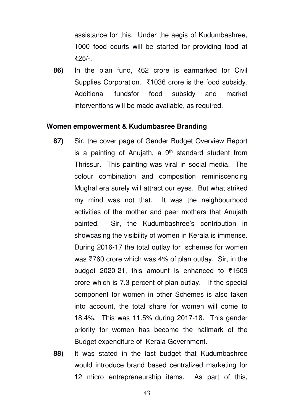assistance for this. Under the aegis of Kudumbashree, 1000 food courts will be started for providing food at ₹25/-.

**86)** In the plan fund, ₹62 crore is earmarked for Civil Supplies Corporation. ₹1036 crore is the food subsidy. Additional fundsfor food subsidy and market interventions will be made available, as required.

#### **Women empowerment & Kudumbasree Branding**

- **87)** Sir, the cover page of Gender Budget Overview Report is a painting of Anujath, a  $9<sup>th</sup>$  standard student from Thrissur. This painting was viral in social media. The colour combination and composition reminiscencing Mughal era surely will attract our eyes. But what striked my mind was not that. It was the neighbourhood activities of the mother and peer mothers that Anujath painted. Sir, the Kudumbashree's contribution in showcasing the visibility of women in Kerala is immense. During 2016-17 the total outlay for schemes for women was ₹760 crore which was 4% of plan outlay. Sir, in the budget 2020-21, this amount is enhanced to ₹1509 crore which is 7.3 percent of plan outlay. If the special component for women in other Schemes is also taken into account, the total share for women will come to 18.4%. This was 11.5% during 2017-18. This gender priority for women has become the hallmark of the Budget expenditure of Kerala Government.
- **88)** It was stated in the last budget that Kudumbashree would introduce brand based centralized marketing for 12 micro entrepreneurship items. As part of this,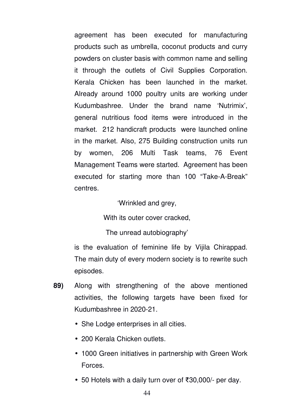agreement has been executed for manufacturing products such as umbrella, coconut products and curry powders on cluster basis with common name and selling it through the outlets of Civil Supplies Corporation. Kerala Chicken has been launched in the market. Already around 1000 poultry units are working under Kudumbashree. Under the brand name 'Nutrimix', general nutritious food items were introduced in the market. 212 handicraft products were launched online in the market. Also, 275 Building construction units run by women, 206 Multi Task teams, 76 Event Management Teams were started. Agreement has been executed for starting more than 100 "Take-A-Break" centres.

'Wrinkled and grey,

With its outer cover cracked.

The unread autobiography'

is the evaluation of feminine life by Vijila Chirappad. The main duty of every modern society is to rewrite such episodes.

- **89)** Along with strengthening of the above mentioned activities, the following targets have been fixed for Kudumbashree in 2020-21.
	- She Lodge enterprises in all cities.
	- 200 Kerala Chicken outlets.
	- 1000 Green initiatives in partnership with Green Work **Forces**
	- 50 Hotels with a daily turn over of ₹30,000/- per day.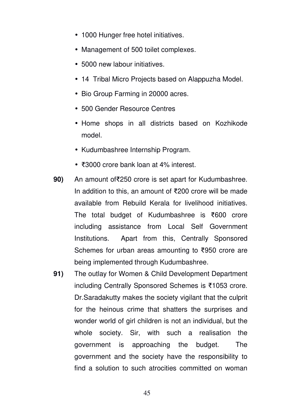- 1000 Hunger free hotel initiatives.
- Management of 500 toilet complexes.
- 5000 new labour initiatives.
- 14 Tribal Micro Projects based on Alappuzha Model.
- Bio Group Farming in 20000 acres.
- 500 Gender Resource Centres
- Home shops in all districts based on Kozhikode model.
- Kudumbashree Internship Program.
- ₹3000 crore bank loan at 4% interest.
- **90)** An amount of₹250 crore is set apart for Kudumbashree. In addition to this, an amount of ₹200 crore will be made available from Rebuild Kerala for livelihood initiatives. The total budget of Kudumbashree is ₹600 crore including assistance from Local Self Government Institutions. Apart from this, Centrally Sponsored Schemes for urban areas amounting to ₹950 crore are being implemented through Kudumbashree.
- **91)** The outlay for Women & Child Development Department including Centrally Sponsored Schemes is ₹1053 crore. Dr.Saradakutty makes the society vigilant that the culprit for the heinous crime that shatters the surprises and wonder world of girl children is not an individual, but the whole society. Sir, with such a realisation the government is approaching the budget. The government and the society have the responsibility to find a solution to such atrocities committed on woman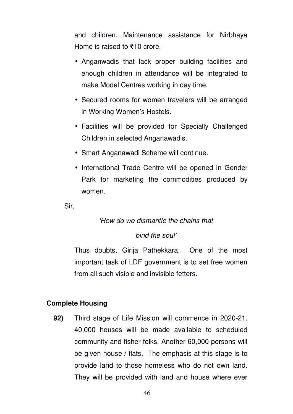and children. Maintenance assistance for Nirbhaya Home is raised to ₹10 crore.

- Anganwadis that lack proper building facilities and enough children in attendance will be integrated to make Model Centres working in day time.
- Secured rooms for women travelers will be arranged in Working Women's Hostels.
- Facilities will be provided for Specially Challenged Children in selected Anganawadis.
- Smart Anganawadi Scheme will continue.
- International Trade Centre will be opened in Gender Park for marketing the commodities produced by women.

Sir,

# 'How do we dismantle the chains that

## bind the soul'

Thus doubts, Girija Pathekkara. One of the most important task of LDF government is to set free women from all such visible and invisible fetters.

# **Complete Housing**

**92)** Third stage of Life Mission will commence in 2020-21. 40,000 houses will be made available to scheduled community and fisher folks. Another 60,000 persons will be given house / flats. The emphasis at this stage is to provide land to those homeless who do not own land. They will be provided with land and house where ever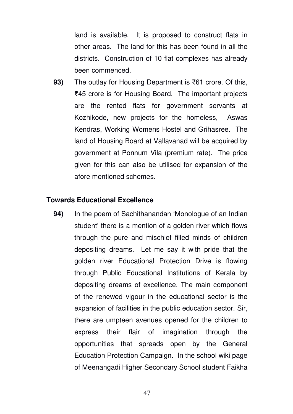land is available. It is proposed to construct flats in other areas. The land for this has been found in all the districts. Construction of 10 flat complexes has already been commenced.

**93)** The outlay for Housing Department is ₹61 crore. Of this, ₹45 crore is for Housing Board. The important projects are the rented flats for government servants at Kozhikode, new projects for the homeless, Aswas Kendras, Working Womens Hostel and Grihasree. The land of Housing Board at Vallavanad will be acquired by government at Ponnum Vila (premium rate). The price given for this can also be utilised for expansion of the afore mentioned schemes.

### **Towards Educational Excellence**

**94)** In the poem of Sachithanandan 'Monologue of an Indian student' there is a mention of a golden river which flows through the pure and mischief filled minds of children depositing dreams. Let me say it with pride that the golden river Educational Protection Drive is flowing through Public Educational Institutions of Kerala by depositing dreams of excellence. The main component of the renewed vigour in the educational sector is the expansion of facilities in the public education sector. Sir, there are umpteen avenues opened for the children to express their flair of imagination through the opportunities that spreads open by the General Education Protection Campaign. In the school wiki page of Meenangadi Higher Secondary School student Faikha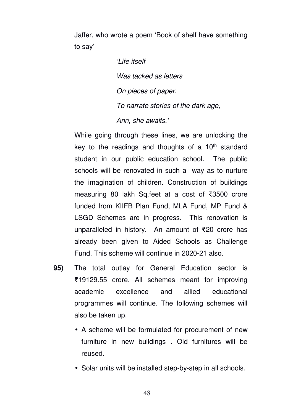Jaffer, who wrote a poem 'Book of shelf have something to say'

> 'Life itself Was tacked as letters On pieces of paper. To narrate stories of the dark age, Ann, she awaits.'

While going through these lines, we are unlocking the key to the readings and thoughts of a  $10<sup>th</sup>$  standard student in our public education school. The public schools will be renovated in such a way as to nurture the imagination of children. Construction of buildings measuring 80 lakh Sq.feet at a cost of ₹3500 crore funded from KIIFB Plan Fund, MLA Fund, MP Fund & LSGD Schemes are in progress. This renovation is unparalleled in history. An amount of ₹20 crore has already been given to Aided Schools as Challenge Fund. This scheme will continue in 2020-21 also.

- **95)** The total outlay for General Education sector is ₹19129.55 crore. All schemes meant for improving academic excellence and allied educational programmes will continue. The following schemes will also be taken up.
	- A scheme will be formulated for procurement of new furniture in new buildings . Old furnitures will be reused.
	- Solar units will be installed step-by-step in all schools.

48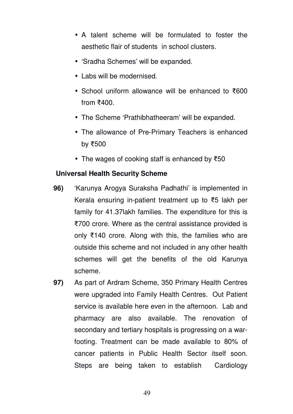- A talent scheme will be formulated to foster the aesthetic flair of students in school clusters.
- 'Sradha Schemes' will be expanded.
- Labs will be modernised.
- School uniform allowance will be enhanced to ₹600 from ₹400.
- The Scheme 'Prathibhatheeram' will be expanded.
- The allowance of Pre-Primary Teachers is enhanced by ₹500
- The wages of cooking staff is enhanced by ₹50

# **Universal Health Security Scheme**

- **96)** 'Karunya Arogya Suraksha Padhathi' is implemented in Kerala ensuring in-patient treatment up to ₹5 lakh per family for 41.37lakh families. The expenditure for this is ₹700 crore. Where as the central assistance provided is only ₹140 crore. Along with this, the families who are outside this scheme and not included in any other health schemes will get the benefits of the old Karunya scheme.
- **97)** As part of Ardram Scheme, 350 Primary Health Centres were upgraded into Family Health Centres. Out Patient service is available here even in the afternoon. Lab and pharmacy are also available. The renovation of secondary and tertiary hospitals is progressing on a warfooting. Treatment can be made available to 80% of cancer patients in Public Health Sector itself soon. Steps are being taken to establish Cardiology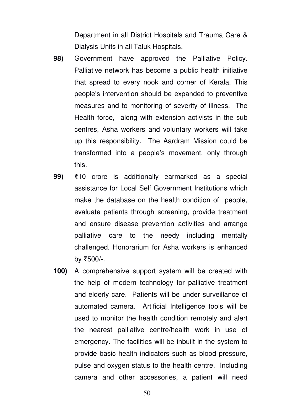Department in all District Hospitals and Trauma Care & Dialysis Units in all Taluk Hospitals.

- **98)** Government have approved the Palliative Policy. Palliative network has become a public health initiative that spread to every nook and corner of Kerala. This people's intervention should be expanded to preventive measures and to monitoring of severity of illness. The Health force, along with extension activists in the sub centres, Asha workers and voluntary workers will take up this responsibility. The Aardram Mission could be transformed into a people's movement, only through this.
- **99)** ₹10 crore is additionally earmarked as a special assistance for Local Self Government Institutions which make the database on the health condition of people, evaluate patients through screening, provide treatment and ensure disease prevention activities and arrange palliative care to the needy including mentally challenged. Honorarium for Asha workers is enhanced by ₹500/-.
- **100)** A comprehensive support system will be created with the help of modern technology for palliative treatment and elderly care. Patients will be under surveillance of automated camera. Artificial Intelligence tools will be used to monitor the health condition remotely and alert the nearest palliative centre/health work in use of emergency. The facilities will be inbuilt in the system to provide basic health indicators such as blood pressure, pulse and oxygen status to the health centre. Including camera and other accessories, a patient will need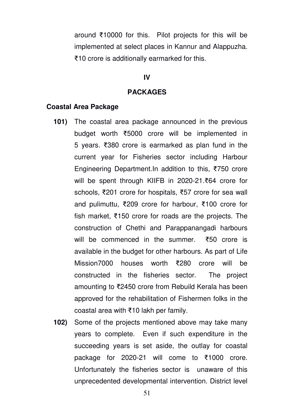around ₹10000 for this. Pilot projects for this will be implemented at select places in Kannur and Alappuzha. ₹10 crore is additionally earmarked for this.

### **IV**

#### **PACKAGES**

#### **Coastal Area Package**

- **101)** The coastal area package announced in the previous budget worth ₹5000 crore will be implemented in 5 years. ₹380 crore is earmarked as plan fund in the current year for Fisheries sector including Harbour Engineering Department.In addition to this, ₹750 crore will be spent through KIIFB in 2020-21.₹64 crore for schools, ₹201 crore for hospitals, ₹57 crore for sea wall and pulimuttu, ₹209 crore for harbour, ₹100 crore for fish market, ₹150 crore for roads are the projects. The construction of Chethi and Parappanangadi harbours will be commenced in the summer. ₹50 crore is available in the budget for other harbours. As part of Life Mission7000 houses worth ₹280 crore will be constructed in the fisheries sector. The project amounting to ₹2450 crore from Rebuild Kerala has been approved for the rehabilitation of Fishermen folks in the coastal area with ₹10 lakh per family.
- **102)** Some of the projects mentioned above may take many years to complete. Even if such expenditure in the succeeding years is set aside, the outlay for coastal package for 2020-21 will come to ₹1000 crore. Unfortunately the fisheries sector is unaware of this unprecedented developmental intervention. District level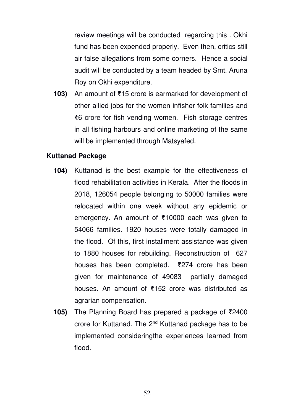review meetings will be conducted regarding this . Okhi fund has been expended properly. Even then, critics still air false allegations from some corners. Hence a social audit will be conducted by a team headed by Smt. Aruna Roy on Okhi expenditure.

**103)** An amount of ₹15 crore is earmarked for development of other allied jobs for the women infisher folk families and ₹6 crore for fish vending women. Fish storage centres in all fishing harbours and online marketing of the same will be implemented through Matsyafed.

### **Kuttanad Package**

- **104)** Kuttanad is the best example for the effectiveness of flood rehabilitation activities in Kerala. After the floods in 2018, 126054 people belonging to 50000 families were relocated within one week without any epidemic or emergency. An amount of ₹10000 each was given to 54066 families. 1920 houses were totally damaged in the flood. Of this, first installment assistance was given to 1880 houses for rebuilding. Reconstruction of 627 houses has been completed. ₹274 crore has been given for maintenance of 49083 partially damaged houses. An amount of ₹152 crore was distributed as agrarian compensation.
- **105)** The Planning Board has prepared a package of ₹2400 crore for Kuttanad. The 2nd Kuttanad package has to be implemented consideringthe experiences learned from flood.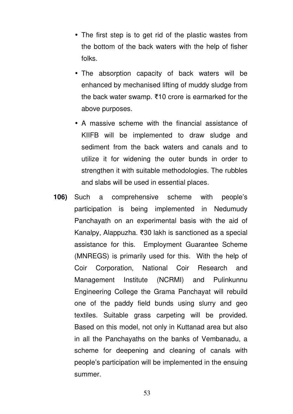- The first step is to get rid of the plastic wastes from the bottom of the back waters with the help of fisher folks.
- The absorption capacity of back waters will be enhanced by mechanised lifting of muddy sludge from the back water swamp. ₹10 crore is earmarked for the above purposes.
- A massive scheme with the financial assistance of KIIFB will be implemented to draw sludge and sediment from the back waters and canals and to utilize it for widening the outer bunds in order to strengthen it with suitable methodologies. The rubbles and slabs will be used in essential places.
- **106)** Such a comprehensive scheme with people's participation is being implemented in Nedumudy Panchayath on an experimental basis with the aid of Kanalpy, Alappuzha. ₹30 lakh is sanctioned as a special assistance for this. Employment Guarantee Scheme (MNREGS) is primarily used for this. With the help of Coir Corporation, National Coir Research and Management Institute (NCRMI) and Pulinkunnu Engineering College the Grama Panchayat will rebuild one of the paddy field bunds using slurry and geo textiles. Suitable grass carpeting will be provided. Based on this model, not only in Kuttanad area but also in all the Panchayaths on the banks of Vembanadu, a scheme for deepening and cleaning of canals with people's participation will be implemented in the ensuing summer.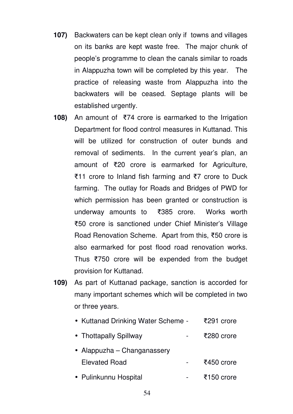- **107)** Backwaters can be kept clean only if towns and villages on its banks are kept waste free. The major chunk of people's programme to clean the canals similar to roads in Alappuzha town will be completed by this year. The practice of releasing waste from Alappuzha into the backwaters will be ceased. Septage plants will be established urgently.
- **108)** An amount of ₹74 crore is earmarked to the Irrigation Department for flood control measures in Kuttanad. This will be utilized for construction of outer bunds and removal of sediments. In the current year's plan, an amount of ₹20 crore is earmarked for Agriculture, ₹11 crore to Inland fish farming and ₹7 crore to Duck farming. The outlay for Roads and Bridges of PWD for which permission has been granted or construction is underway amounts to ₹385 crore. Works worth ₹50 crore is sanctioned under Chief Minister's Village Road Renovation Scheme. Apart from this, ₹50 crore is also earmarked for post flood road renovation works. Thus ₹750 crore will be expended from the budget provision for Kuttanad.
- **109)** As part of Kuttanad package, sanction is accorded for many important schemes which will be completed in two or three years.

| • Kuttanad Drinking Water Scheme - | ₹291 crore |
|------------------------------------|------------|
| • Thottapally Spillway             | ₹280 crore |
| • Alappuzha – Changanassery        |            |
| <b>Elevated Road</b>               | ₹450 crore |
| • Pulinkunnu Hospital              | ₹150 crore |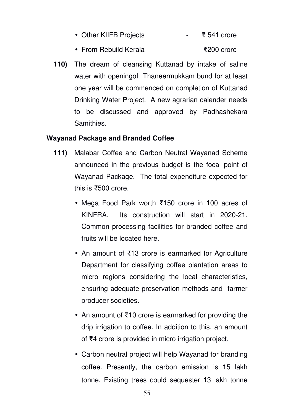- Other KIIFB Projects ₹ 541 crore
- From Rebuild Kerala ₹200 crore
- **110)** The dream of cleansing Kuttanad by intake of saline water with openingof Thaneermukkam bund for at least one year will be commenced on completion of Kuttanad Drinking Water Project. A new agrarian calender needs to be discussed and approved by Padhashekara Samithies.

## **Wayanad Package and Branded Coffee**

- **111)** Malabar Coffee and Carbon Neutral Wayanad Scheme announced in the previous budget is the focal point of Wayanad Package. The total expenditure expected for this is ₹500 crore.
	- Mega Food Park worth ₹150 crore in 100 acres of KINFRA. Its construction will start in 2020-21. Common processing facilities for branded coffee and fruits will be located here.
	- An amount of ₹13 crore is earmarked for Agriculture Department for classifying coffee plantation areas to micro regions considering the local characteristics, ensuring adequate preservation methods and farmer producer societies.
	- An amount of ₹10 crore is earmarked for providing the drip irrigation to coffee. In addition to this, an amount of ₹4 crore is provided in micro irrigation project.
	- Carbon neutral project will help Wayanad for branding coffee. Presently, the carbon emission is 15 lakh tonne. Existing trees could sequester 13 lakh tonne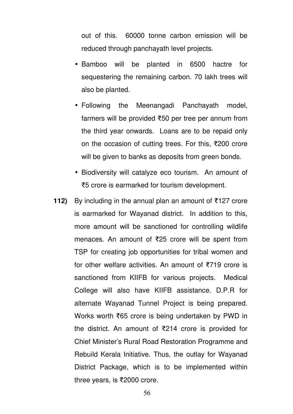out of this. 60000 tonne carbon emission will be reduced through panchayath level projects.

- Bamboo will be planted in 6500 hactre for sequestering the remaining carbon. 70 lakh trees will also be planted.
- Following the Meenangadi Panchayath model, farmers will be provided ₹50 per tree per annum from the third year onwards. Loans are to be repaid only on the occasion of cutting trees. For this, ₹200 crore will be given to banks as deposits from green bonds.
- Biodiversity will catalyze eco tourism. An amount of ₹5 crore is earmarked for tourism development.
- **112)** By including in the annual plan an amount of ₹127 crore is earmarked for Wayanad district. In addition to this, more amount will be sanctioned for controlling wildlife menaces. An amount of ₹25 crore will be spent from TSP for creating job opportunities for tribal women and for other welfare activities. An amount of ₹719 crore is sanctioned from KIIFB for various projects. Medical College will also have KIIFB assistance. D.P.R for alternate Wayanad Tunnel Project is being prepared. Works worth ₹65 crore is being undertaken by PWD in the district. An amount of ₹214 crore is provided for Chief Minister's Rural Road Restoration Programme and Rebuild Kerala Initiative. Thus, the outlay for Wayanad District Package, which is to be implemented within three years, is ₹2000 crore.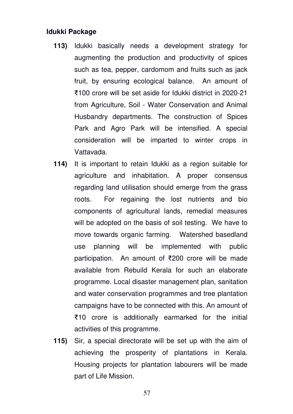### **Idukki Package**

- **113)** Idukki basically needs a development strategy for augmenting the production and productivity of spices such as tea, pepper, cardomom and fruits such as jack fruit, by ensuring ecological balance. An amount of ₹100 crore will be set aside for Idukki district in 2020-21 from Agriculture, Soil - Water Conservation and Animal Husbandry departments. The construction of Spices Park and Agro Park will be intensified. A special consideration will be imparted to winter crops in Vattavada.
- **114)** It is important to retain Idukki as a region suitable for agriculture and inhabitation. A proper consensus regarding land utilisation should emerge from the grass roots. For regaining the lost nutrients and bio components of agricultural lands, remedial measures will be adopted on the basis of soil testing. We have to move towards organic farming. Watershed basedland use planning will be implemented with public participation. An amount of ₹200 crore will be made available from Rebuild Kerala for such an elaborate programme. Local disaster management plan, sanitation and water conservation programmes and tree plantation campaigns have to be connected with this. An amount of ₹10 crore is additionally earmarked for the initial activities of this programme.
- **115)** Sir, a special directorate will be set up with the aim of achieving the prosperity of plantations in Kerala. Housing projects for plantation labourers will be made part of Life Mission.

57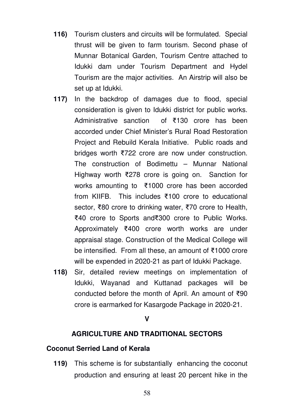- **116)** Tourism clusters and circuits will be formulated. Special thrust will be given to farm tourism. Second phase of Munnar Botanical Garden, Tourism Centre attached to Idukki dam under Tourism Department and Hydel Tourism are the major activities. An Airstrip will also be set up at Idukki.
- **117)** In the backdrop of damages due to flood, special consideration is given to Idukki district for public works. Administrative sanction of ₹130 crore has been accorded under Chief Minister's Rural Road Restoration Project and Rebuild Kerala Initiative. Public roads and bridges worth ₹722 crore are now under construction. The construction of Bodimettu – Munnar National Highway worth ₹278 crore is going on. Sanction for works amounting to ₹1000 crore has been accorded from KIIFB. This includes ₹100 crore to educational sector, ₹80 crore to drinking water, ₹70 crore to Health, ₹40 crore to Sports and₹300 crore to Public Works. Approximately ₹400 crore worth works are under appraisal stage. Construction of the Medical College will be intensified. From all these, an amount of ₹1000 crore will be expended in 2020-21 as part of Idukki Package.
- **118)** Sir, detailed review meetings on implementation of Idukki, Wayanad and Kuttanad packages will be conducted before the month of April. An amount of ₹90 crore is earmarked for Kasargode Package in 2020-21.

#### **V**

### **AGRICULTURE AND TRADITIONAL SECTORS**

### **Coconut Serried Land of Kerala**

**119)** This scheme is for substantially enhancing the coconut production and ensuring at least 20 percent hike in the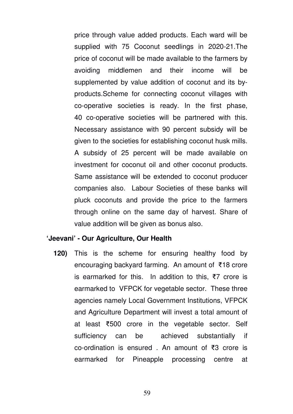price through value added products. Each ward will be supplied with 75 Coconut seedlings in 2020-21.The price of coconut will be made available to the farmers by avoiding middlemen and their income will be supplemented by value addition of coconut and its byproducts.Scheme for connecting coconut villages with co-operative societies is ready. In the first phase, 40 co-operative societies will be partnered with this. Necessary assistance with 90 percent subsidy will be given to the societies for establishing coconut husk mills. A subsidy of 25 percent will be made available on investment for coconut oil and other coconut products. Same assistance will be extended to coconut producer companies also. Labour Societies of these banks will pluck coconuts and provide the price to the farmers through online on the same day of harvest. Share of value addition will be given as bonus also.

#### **'Jeevani' - Our Agriculture, Our Health**

**120)** This is the scheme for ensuring healthy food by encouraging backyard farming. An amount of ₹18 crore is earmarked for this. In addition to this, ₹7 crore is earmarked to VFPCK for vegetable sector. These three agencies namely Local Government Institutions, VFPCK and Agriculture Department will invest a total amount of at least ₹500 crore in the vegetable sector. Self sufficiency can be achieved substantially if co-ordination is ensured . An amount of ₹3 crore is earmarked for Pineapple processing centre at

59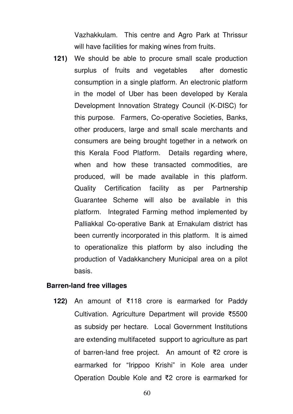Vazhakkulam. This centre and Agro Park at Thrissur will have facilities for making wines from fruits.

**121)** We should be able to procure small scale production surplus of fruits and vegetables after domestic consumption in a single platform. An electronic platform in the model of Uber has been developed by Kerala Development Innovation Strategy Council (K-DISC) for this purpose. Farmers, Co-operative Societies, Banks, other producers, large and small scale merchants and consumers are being brought together in a network on this Kerala Food Platform. Details regarding where, when and how these transacted commodities, are produced, will be made available in this platform. Quality Certification facility as per Partnership Guarantee Scheme will also be available in this platform. Integrated Farming method implemented by Palliakkal Co-operative Bank at Ernakulam district has been currently incorporated in this platform. It is aimed to operationalize this platform by also including the production of Vadakkanchery Municipal area on a pilot basis.

#### **Barren-land free villages**

**122)** An amount of ₹118 crore is earmarked for Paddy Cultivation. Agriculture Department will provide ₹5500 as subsidy per hectare. Local Government Institutions are extending multifaceted support to agriculture as part of barren-land free project. An amount of ₹2 crore is earmarked for "Irippoo Krishi" in Kole area under Operation Double Kole and ₹2 crore is earmarked for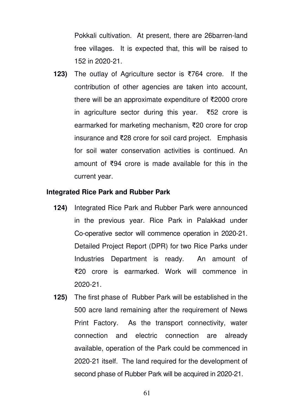Pokkali cultivation. At present, there are 26barren-land free villages. It is expected that, this will be raised to 152 in 2020-21.

**123)** The outlay of Agriculture sector is ₹764 crore. If the contribution of other agencies are taken into account, there will be an approximate expenditure of ₹2000 crore in agriculture sector during this year. ₹52 crore is earmarked for marketing mechanism, ₹20 crore for crop insurance and ₹28 crore for soil card project. Emphasis for soil water conservation activities is continued. An amount of ₹94 crore is made available for this in the current year.

### **Integrated Rice Park and Rubber Park**

- **124)** Integrated Rice Park and Rubber Park were announced in the previous year. Rice Park in Palakkad under Co-operative sector will commence operation in 2020-21. Detailed Project Report (DPR) for two Rice Parks under Industries Department is ready. An amount of ₹20 crore is earmarked. Work will commence in 2020-21.
- **125)** The first phase of Rubber Park will be established in the 500 acre land remaining after the requirement of News Print Factory. As the transport connectivity, water connection and electric connection are already available, operation of the Park could be commenced in 2020-21 itself. The land required for the development of second phase of Rubber Park will be acquired in 2020-21.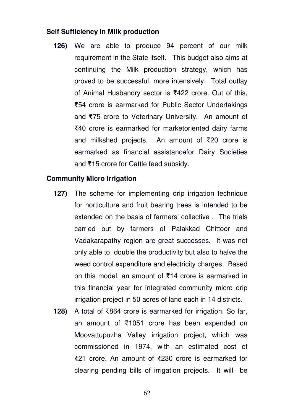## **Self Sufficiency in Milk production**

**126)** We are able to produce 94 percent of our milk requirement in the State itself. This budget also aims at continuing the Milk production strategy, which has proved to be successful, more intensively. Total outlay of Animal Husbandry sector is ₹422 crore. Out of this, ₹54 crore is earmarked for Public Sector Undertakings and ₹75 crore to Veterinary University. An amount of ₹40 crore is earmarked for marketoriented dairy farms and milkshed projects. An amount of ₹20 crore is earmarked as financial assistancefor Dairy Societies and ₹15 crore for Cattle feed subsidy.

## **Community Micro Irrigation**

- **127)** The scheme for implementing drip irrigation technique for horticulture and fruit bearing trees is intended to be extended on the basis of farmers' collective . The trials carried out by farmers of Palakkad Chittoor and Vadakarapathy region are great successes. It was not only able to double the productivity but also to halve the weed control expenditure and electricity charges. Based on this model, an amount of ₹14 crore is earmarked in this financial year for integrated community micro drip irrigation project in 50 acres of land each in 14 districts.
- **128)** A total of ₹864 crore is earmarked for irrigation. So far, an amount of ₹1051 crore has been expended on Moovattupuzha Valley irrigation project, which was commissioned in 1974, with an estimated cost of ₹21 crore. An amount of ₹230 crore is earmarked for clearing pending bills of irrigation projects. It will be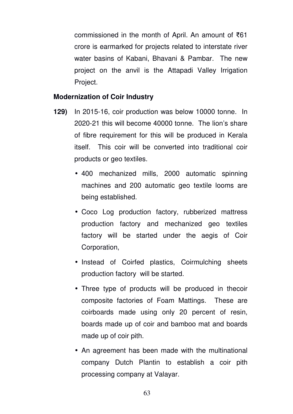commissioned in the month of April. An amount of ₹61 crore is earmarked for projects related to interstate river water basins of Kabani, Bhavani & Pambar. The new project on the anvil is the Attapadi Valley Irrigation Project.

### **Modernization of Coir Industry**

- **129)** In 2015-16, coir production was below 10000 tonne. In 2020-21 this will become 40000 tonne. The lion's share of fibre requirement for this will be produced in Kerala itself. This coir will be converted into traditional coir products or geo textiles.
	- 400 mechanized mills, 2000 automatic spinning machines and 200 automatic geo textile looms are being established.
	- Coco Log production factory, rubberized mattress production factory and mechanized geo textiles factory will be started under the aegis of Coir Corporation,
	- Instead of Coirfed plastics, Coirmulching sheets production factory will be started.
	- Three type of products will be produced in thecoir composite factories of Foam Mattings. These are coirboards made using only 20 percent of resin, boards made up of coir and bamboo mat and boards made up of coir pith.
	- An agreement has been made with the multinational company Dutch Plantin to establish a coir pith processing company at Valayar.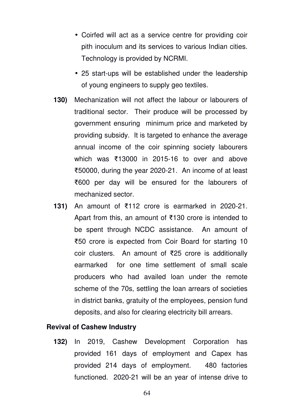- Coirfed will act as a service centre for providing coir pith inoculum and its services to various Indian cities. Technology is provided by NCRMI.
- 25 start-ups will be established under the leadership of young engineers to supply geo textiles.
- **130)** Mechanization will not affect the labour or labourers of traditional sector. Their produce will be processed by government ensuring minimum price and marketed by providing subsidy. It is targeted to enhance the average annual income of the coir spinning society labourers which was ₹13000 in 2015-16 to over and above ₹50000, during the year 2020-21. An income of at least ₹600 per day will be ensured for the labourers of mechanized sector.
- **131)** An amount of ₹112 crore is earmarked in 2020-21. Apart from this, an amount of ₹130 crore is intended to be spent through NCDC assistance. An amount of ₹50 crore is expected from Coir Board for starting 10 coir clusters. An amount of ₹25 crore is additionally earmarked for one time settlement of small scale producers who had availed loan under the remote scheme of the 70s, settling the loan arrears of societies in district banks, gratuity of the employees, pension fund deposits, and also for clearing electricity bill arrears.

## **Revival of Cashew Industry**

**132)** In 2019, Cashew Development Corporation has provided 161 days of employment and Capex has provided 214 days of employment. 480 factories functioned. 2020-21 will be an year of intense drive to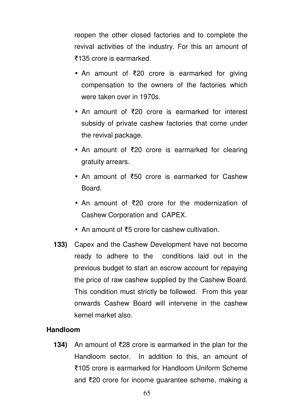reopen the other closed factories and to complete the revival activities of the industry. For this an amount of ₹135 crore is earmarked.

- An amount of ₹20 crore is earmarked for giving compensation to the owners of the factories which were taken over in 1970s.
- An amount of ₹20 crore is earmarked for interest subsidy of private cashew factories that come under the revival package.
- An amount of ₹20 crore is earmarked for clearing gratuity arrears.
- An amount of ₹50 crore is earmarked for Cashew **Board**
- An amount of ₹20 crore for the modernization of Cashew Corporation and CAPEX.
- An amount of ₹5 crore for cashew cultivation.
- **133)** Capex and the Cashew Development have not become ready to adhere to the conditions laid out in the previous budget to start an escrow account for repaying the price of raw cashew supplied by the Cashew Board. This condition must strictly be followed. From this year onwards Cashew Board will intervene in the cashew kernel market also.

## **Handloom**

**134)** An amount of ₹28 crore is earmarked in the plan for the Handloom sector. In addition to this, an amount of ₹105 crore is earmarked for Handloom Uniform Scheme and ₹20 crore for income guarantee scheme, making a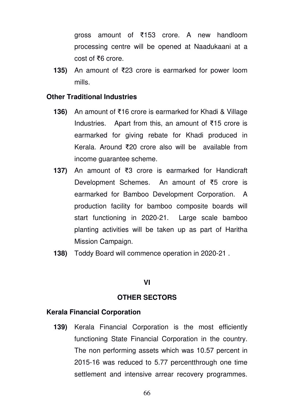gross amount of ₹153 crore. A new handloom processing centre will be opened at Naadukaani at a cost of ₹6 crore.

**135)** An amount of ₹23 crore is earmarked for power loom mills.

### **Other Traditional Industries**

- **136)** An amount of ₹16 crore is earmarked for Khadi & Village Industries. Apart from this, an amount of ₹15 crore is earmarked for giving rebate for Khadi produced in Kerala. Around ₹20 crore also will be available from income guarantee scheme.
- **137)** An amount of ₹3 crore is earmarked for Handicraft Development Schemes. An amount of ₹5 crore is earmarked for Bamboo Development Corporation. A production facility for bamboo composite boards will start functioning in 2020-21. Large scale bamboo planting activities will be taken up as part of Haritha Mission Campaign.
- **138)** Toddy Board will commence operation in 2020-21 .

#### **VI**

#### **OTHER SECTORS**

#### **Kerala Financial Corporation**

**139)** Kerala Financial Corporation is the most efficiently functioning State Financial Corporation in the country. The non performing assets which was 10.57 percent in 2015-16 was reduced to 5.77 percentthrough one time settlement and intensive arrear recovery programmes.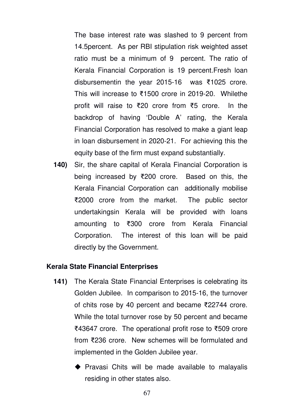The base interest rate was slashed to 9 percent from 14.5percent. As per RBI stipulation risk weighted asset ratio must be a minimum of 9 percent. The ratio of Kerala Financial Corporation is 19 percent.Fresh loan disbursementin the year 2015-16 was ₹1025 crore. This will increase to ₹1500 crore in 2019-20. Whilethe profit will raise to ₹20 crore from ₹5 crore. In the backdrop of having 'Double A' rating, the Kerala Financial Corporation has resolved to make a giant leap in loan disbursement in 2020-21. For achieving this the equity base of the firm must expand substantially.

**140)** Sir, the share capital of Kerala Financial Corporation is being increased by ₹200 crore. Based on this, the Kerala Financial Corporation can additionally mobilise ₹2000 crore from the market. The public sector undertakingsin Kerala will be provided with loans amounting to ₹300 crore from Kerala Financial Corporation. The interest of this loan will be paid directly by the Government.

### **Kerala State Financial Enterprises**

- **141)** The Kerala State Financial Enterprises is celebrating its Golden Jubilee. In comparison to 2015-16, the turnover of chits rose by 40 percent and became ₹22744 crore. While the total turnover rose by 50 percent and became ₹43647 crore. The operational profit rose to ₹509 crore from ₹236 crore. New schemes will be formulated and implemented in the Golden Jubilee year.
	- $\blacklozenge$  Pravasi Chits will be made available to malayalis residing in other states also.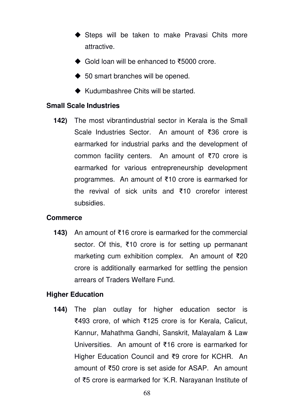- ◆ Steps will be taken to make Pravasi Chits more attractive.
- Gold loan will be enhanced to ₹5000 crore.
- ◆ 50 smart branches will be opened.
- ◆ Kudumbashree Chits will be started.

### **Small Scale Industries**

**142)** The most vibrantindustrial sector in Kerala is the Small Scale Industries Sector. An amount of ₹36 crore is earmarked for industrial parks and the development of common facility centers. An amount of ₹70 crore is earmarked for various entrepreneurship development programmes. An amount of ₹10 crore is earmarked for the revival of sick units and ₹10 crorefor interest subsidies.

## **Commerce**

**143)** An amount of ₹16 crore is earmarked for the commercial sector. Of this, ₹10 crore is for setting up permanant marketing cum exhibition complex. An amount of ₹20 crore is additionally earmarked for settling the pension arrears of Traders Welfare Fund.

## **Higher Education**

**144)** The plan outlay for higher education sector is ₹493 crore, of which ₹125 crore is for Kerala, Calicut, Kannur, Mahathma Gandhi, Sanskrit, Malayalam & Law Universities. An amount of ₹16 crore is earmarked for Higher Education Council and ₹9 crore for KCHR. An amount of ₹50 crore is set aside for ASAP. An amount of ₹5 crore is earmarked for 'K.R. Narayanan Institute of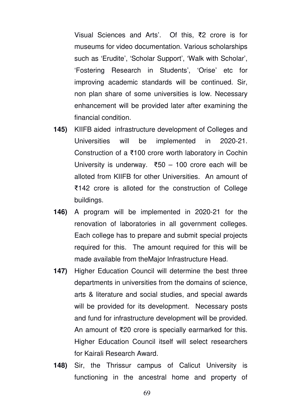Visual Sciences and Arts'. Of this, ₹2 crore is for museums for video documentation. Various scholarships such as 'Erudite', 'Scholar Support', 'Walk with Scholar', 'Fostering Research in Students', 'Orise' etc for improving academic standards will be continued. Sir, non plan share of some universities is low. Necessary enhancement will be provided later after examining the financial condition.

- **145)** KIIFB aided infrastructure development of Colleges and Universities will be implemented in 2020-21. Construction of a ₹100 crore worth laboratory in Cochin University is underway. ₹50 – 100 crore each will be alloted from KIIFB for other Universities. An amount of ₹142 crore is alloted for the construction of College buildings.
- **146)** A program will be implemented in 2020-21 for the renovation of laboratories in all government colleges. Each college has to prepare and submit special projects required for this. The amount required for this will be made available from theMajor Infrastructure Head.
- **147)** Higher Education Council will determine the best three departments in universities from the domains of science, arts & literature and social studies, and special awards will be provided for its development. Necessary posts and fund for infrastructure development will be provided. An amount of ₹20 crore is specially earmarked for this. Higher Education Council itself will select researchers for Kairali Research Award.
- **148)** Sir, the Thrissur campus of Calicut University is functioning in the ancestral home and property of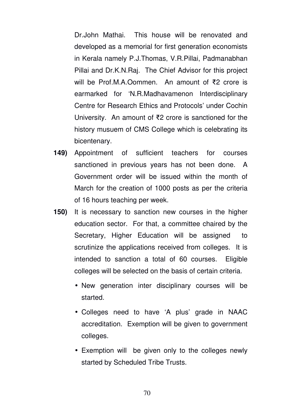Dr.John Mathai. This house will be renovated and developed as a memorial for first generation economists in Kerala namely P.J.Thomas, V.R.Pillai, Padmanabhan Pillai and Dr.K.N.Raj. The Chief Advisor for this project will be Prof.M.A.Oommen. An amount of ₹2 crore is earmarked for 'N.R.Madhavamenon Interdisciplinary Centre for Research Ethics and Protocols' under Cochin University. An amount of ₹2 crore is sanctioned for the history musuem of CMS College which is celebrating its bicentenary.

- **149)** Appointment of sufficient teachers for courses sanctioned in previous years has not been done. A Government order will be issued within the month of March for the creation of 1000 posts as per the criteria of 16 hours teaching per week.
- **150)** It is necessary to sanction new courses in the higher education sector. For that, a committee chaired by the Secretary, Higher Education will be assigned to scrutinize the applications received from colleges. It is intended to sanction a total of 60 courses. Eligible colleges will be selected on the basis of certain criteria.
	- New generation inter disciplinary courses will be started.
	- Colleges need to have 'A plus' grade in NAAC accreditation. Exemption will be given to government colleges.
	- Exemption will be given only to the colleges newly started by Scheduled Tribe Trusts.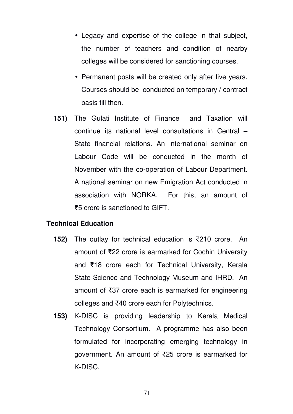- Legacy and expertise of the college in that subject, the number of teachers and condition of nearby colleges will be considered for sanctioning courses.
- Permanent posts will be created only after five years. Courses should be conducted on temporary / contract basis till then.
- **151)** The Gulati Institute of Finance and Taxation will continue its national level consultations in Central – State financial relations. An international seminar on Labour Code will be conducted in the month of November with the co-operation of Labour Department. A national seminar on new Emigration Act conducted in association with NORKA. For this, an amount of ₹5 crore is sanctioned to GIFT.

### **Technical Education**

- **152)** The outlay for technical education is ₹210 crore. An amount of ₹22 crore is earmarked for Cochin University and ₹18 crore each for Technical University, Kerala State Science and Technology Museum and IHRD. An amount of ₹37 crore each is earmarked for engineering colleges and ₹40 crore each for Polytechnics.
- **153)** K-DISC is providing leadership to Kerala Medical Technology Consortium. A programme has also been formulated for incorporating emerging technology in government. An amount of ₹25 crore is earmarked for K-DISC.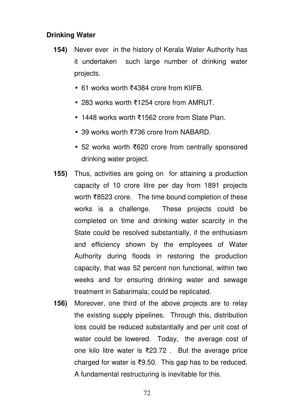# **Drinking Water**

- **154)** Never ever in the history of Kerala Water Authority has it undertaken such large number of drinking water projects.
	- 61 works worth ₹4384 crore from KIIFB.
	- 283 works worth ₹1254 crore from AMRUT.
	- 1448 works worth ₹1562 crore from State Plan.
	- 39 works worth ₹736 crore from NABARD.
	- 52 works worth ₹620 crore from centrally sponsored drinking water project.
- **155)** Thus, activities are going on for attaining a production capacity of 10 crore litre per day from 1891 projects worth ₹8523 crore. The time bound completion of these works is a challenge. These projects could be completed on time and drinking water scarcity in the State could be resolved substantially, if the enthusiasm and efficiency shown by the employees of Water Authority during floods in restoring the production capacity, that was 52 percent non functional, within two weeks and for ensuring drinking water and sewage treatment in Sabarimala; could be replicated.
- **156)** Moreover, one third of the above projects are to relay the existing supply pipelines. Through this, distribution loss could be reduced substantially and per unit cost of water could be lowered. Today, the average cost of one kilo litre water is ₹23.72 . But the average price charged for water is ₹9.50. This gap has to be reduced. A fundamental restructuring is inevitable for this.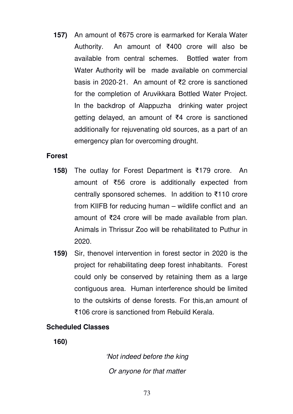**157)** An amount of ₹675 crore is earmarked for Kerala Water Authority. An amount of ₹400 crore will also be available from central schemes. Bottled water from Water Authority will be made available on commercial basis in 2020-21. An amount of ₹2 crore is sanctioned for the completion of Aruvikkara Bottled Water Project. In the backdrop of Alappuzha drinking water project getting delayed, an amount of ₹4 crore is sanctioned additionally for rejuvenating old sources, as a part of an emergency plan for overcoming drought.

## **Forest**

- **158)** The outlay for Forest Department is ₹179 crore. An amount of ₹56 crore is additionally expected from centrally sponsored schemes. In addition to ₹110 crore from KIIFB for reducing human – wildlife conflict and an amount of ₹24 crore will be made available from plan. Animals in Thrissur Zoo will be rehabilitated to Puthur in 2020.
- **159)** Sir, thenovel intervention in forest sector in 2020 is the project for rehabilitating deep forest inhabitants. Forest could only be conserved by retaining them as a large contiguous area. Human interference should be limited to the outskirts of dense forests. For this,an amount of ₹106 crore is sanctioned from Rebuild Kerala.

# **Scheduled Classes**

**160)** 

'Not indeed before the king Or anyone for that matter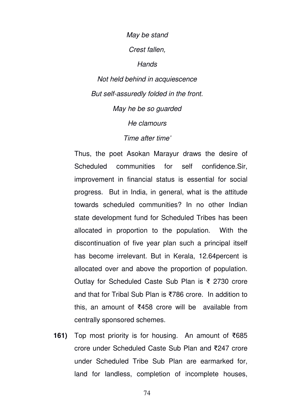#### May be stand

Crest fallen,

**Hands** 

Not held behind in acquiescence But self-assuredly folded in the front. May he be so guarded He clamours Time after time'

Thus, the poet Asokan Marayur draws the desire of Scheduled communities for self confidence.Sir, improvement in financial status is essential for social progress. But in India, in general, what is the attitude towards scheduled communities? In no other Indian state development fund for Scheduled Tribes has been allocated in proportion to the population. With the discontinuation of five year plan such a principal itself has become irrelevant. But in Kerala, 12.64percent is allocated over and above the proportion of population. Outlay for Scheduled Caste Sub Plan is ₹ 2730 crore and that for Tribal Sub Plan is ₹786 crore. In addition to this, an amount of ₹458 crore will be available from centrally sponsored schemes.

**161)** Top most priority is for housing. An amount of ₹685 crore under Scheduled Caste Sub Plan and ₹247 crore under Scheduled Tribe Sub Plan are earmarked for, land for landless, completion of incomplete houses,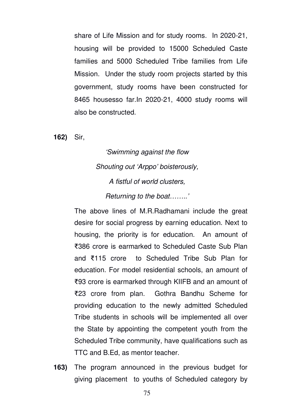share of Life Mission and for study rooms. In 2020-21, housing will be provided to 15000 Scheduled Caste families and 5000 Scheduled Tribe families from Life Mission. Under the study room projects started by this government, study rooms have been constructed for 8465 housesso far.In 2020-21, 4000 study rooms will also be constructed.

**162)** Sir,

'Swimming against the flow Shouting out 'Arppo' boisterously, A fistful of world clusters, Returning to the boat……..'

The above lines of M.R.Radhamani include the great desire for social progress by earning education. Next to housing, the priority is for education. An amount of ₹386 crore is earmarked to Scheduled Caste Sub Plan and ₹115 crore to Scheduled Tribe Sub Plan for education. For model residential schools, an amount of ₹93 crore is earmarked through KIIFB and an amount of ₹23 crore from plan. Gothra Bandhu Scheme for providing education to the newly admitted Scheduled Tribe students in schools will be implemented all over the State by appointing the competent youth from the Scheduled Tribe community, have qualifications such as TTC and B.Ed, as mentor teacher.

**163)** The program announced in the previous budget for giving placement to youths of Scheduled category by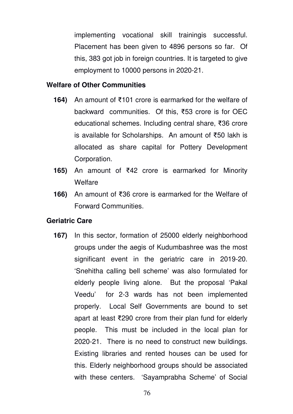implementing vocational skill trainingis successful. Placement has been given to 4896 persons so far. Of this, 383 got job in foreign countries. It is targeted to give employment to 10000 persons in 2020-21.

## **Welfare of Other Communities**

- **164)** An amount of ₹101 crore is earmarked for the welfare of backward communities. Of this, ₹53 crore is for OEC educational schemes. Including central share, ₹36 crore is available for Scholarships. An amount of ₹50 lakh is allocated as share capital for Pottery Development Corporation.
- **165)** An amount of ₹42 crore is earmarked for Minority Welfare
- **166)** An amount of ₹36 crore is earmarked for the Welfare of Forward Communities.

## **Geriatric Care**

**167)** In this sector, formation of 25000 elderly neighborhood groups under the aegis of Kudumbashree was the most significant event in the geriatric care in 2019-20. 'Snehitha calling bell scheme' was also formulated for elderly people living alone. But the proposal 'Pakal Veedu' for 2-3 wards has not been implemented properly. Local Self Governments are bound to set apart at least ₹290 crore from their plan fund for elderly people. This must be included in the local plan for 2020-21. There is no need to construct new buildings. Existing libraries and rented houses can be used for this. Elderly neighborhood groups should be associated with these centers. 'Sayamprabha Scheme' of Social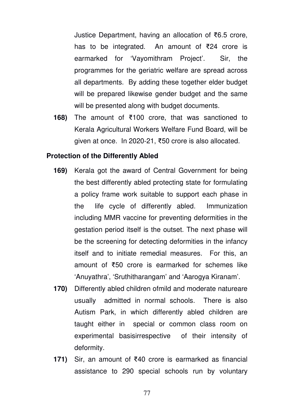Justice Department, having an allocation of ₹6.5 crore, has to be integrated. An amount of ₹24 crore is earmarked for 'Vayomithram Project'. Sir, the programmes for the geriatric welfare are spread across all departments. By adding these together elder budget will be prepared likewise gender budget and the same will be presented along with budget documents.

**168)** The amount of ₹100 crore, that was sanctioned to Kerala Agricultural Workers Welfare Fund Board, will be given at once. In 2020-21, ₹50 crore is also allocated.

#### **Protection of the Differently Abled**

- **169)** Kerala got the award of Central Government for being the best differently abled protecting state for formulating a policy frame work suitable to support each phase in the life cycle of differently abled. Immunization including MMR vaccine for preventing deformities in the gestation period itself is the outset. The next phase will be the screening for detecting deformities in the infancy itself and to initiate remedial measures. For this, an amount of ₹50 crore is earmarked for schemes like 'Anuyathra', 'Sruthitharangam' and 'Aarogya Kiranam'.
- **170)** Differently abled children ofmild and moderate natureare usually admitted in normal schools. There is also Autism Park, in which differently abled children are taught either in special or common class room on experimental basisirrespective of their intensity of deformity.
- **171)** Sir, an amount of ₹40 crore is earmarked as financial assistance to 290 special schools run by voluntary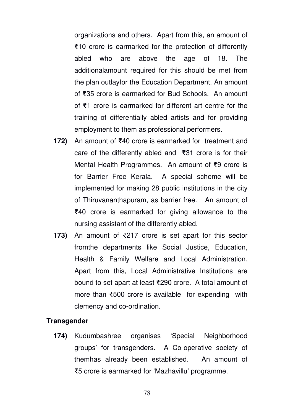organizations and others. Apart from this, an amount of ₹10 crore is earmarked for the protection of differently abled who are above the age of 18. The additionalamount required for this should be met from the plan outlayfor the Education Department. An amount of ₹35 crore is earmarked for Bud Schools. An amount of ₹1 crore is earmarked for different art centre for the training of differentially abled artists and for providing employment to them as professional performers.

- **172)** An amount of ₹40 crore is earmarked for treatment and care of the differently abled and ₹31 crore is for their Mental Health Programmes. An amount of ₹9 crore is for Barrier Free Kerala. A special scheme will be implemented for making 28 public institutions in the city of Thiruvananthapuram, as barrier free. An amount of ₹40 crore is earmarked for giving allowance to the nursing assistant of the differently abled.
- **173)** An amount of ₹217 crore is set apart for this sector fromthe departments like Social Justice, Education, Health & Family Welfare and Local Administration. Apart from this, Local Administrative Institutions are bound to set apart at least ₹290 crore. A total amount of more than ₹500 crore is available for expending with clemency and co-ordination.

## **Transgender**

**174)** Kudumbashree organises 'Special Neighborhood groups' for transgenders. A Co-operative society of themhas already been established. An amount of ₹5 crore is earmarked for 'Mazhavillu' programme.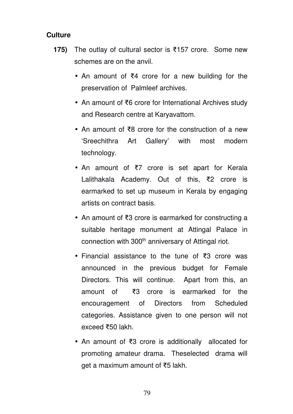# **Culture**

- **175)** The outlay of cultural sector is ₹157 crore. Some new schemes are on the anvil.
	- An amount of ₹4 crore for a new building for the preservation of Palmleef archives.
	- An amount of ₹6 crore for International Archives study and Research centre at Karyavattom.
	- An amount of ₹8 crore for the construction of a new 'Sreechithra Art Gallery' with most modern technology.
	- An amount of ₹7 crore is set apart for Kerala Lalithakala Academy. Out of this, ₹2 crore is earmarked to set up museum in Kerala by engaging artists on contract basis.
	- An amount of ₹3 crore is earmarked for constructing a suitable heritage monument at Attingal Palace in connection with 300<sup>th</sup> anniversary of Attingal riot.
	- Financial assistance to the tune of ₹3 crore was announced in the previous budget for Female Directors. This will continue. Apart from this, an amount of ₹3 crore is earmarked for the encouragement of Directors from Scheduled categories. Assistance given to one person will not exceed ₹50 lakh.
	- An amount of ₹3 crore is additionally allocated for promoting amateur drama. Theselected drama will get a maximum amount of ₹5 lakh.

79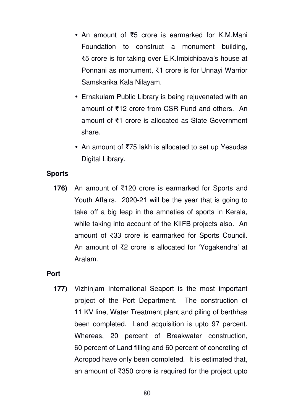- An amount of ₹5 crore is earmarked for K.M.Mani Foundation to construct a monument building, ₹5 crore is for taking over E.K.Imbichibava's house at Ponnani as monument, ₹1 crore is for Unnayi Warrior Samskarika Kala Nilayam.
- Ernakulam Public Library is being rejuvenated with an amount of ₹12 crore from CSR Fund and others. An amount of ₹1 crore is allocated as State Government share.
- An amount of ₹75 lakh is allocated to set up Yesudas Digital Library.

# **Sports**

**176)** An amount of ₹120 crore is earmarked for Sports and Youth Affairs. 2020-21 will be the year that is going to take off a big leap in the amneties of sports in Kerala, while taking into account of the KIIFB projects also. An amount of ₹33 crore is earmarked for Sports Council. An amount of ₹2 crore is allocated for 'Yogakendra' at Aralam.

## **Port**

**177)** Vizhinjam International Seaport is the most important project of the Port Department. The construction of 11 KV line, Water Treatment plant and piling of berthhas been completed. Land acquisition is upto 97 percent. Whereas, 20 percent of Breakwater construction, 60 percent of Land filling and 60 percent of concreting of Acropod have only been completed. It is estimated that, an amount of ₹350 crore is required for the project upto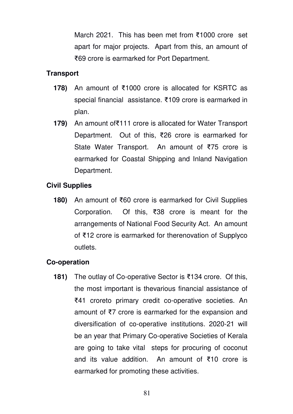March 2021. This has been met from ₹1000 crore set apart for major projects. Apart from this, an amount of ₹69 crore is earmarked for Port Department.

# **Transport**

- **178)** An amount of ₹1000 crore is allocated for KSRTC as special financial assistance. ₹109 crore is earmarked in plan.
- **179)** An amount of₹111 crore is allocated for Water Transport Department. Out of this, ₹26 crore is earmarked for State Water Transport. An amount of ₹75 crore is earmarked for Coastal Shipping and Inland Navigation Department.

# **Civil Supplies**

**180)** An amount of ₹60 crore is earmarked for Civil Supplies Corporation. Of this, ₹38 crore is meant for the arrangements of National Food Security Act. An amount of ₹12 crore is earmarked for therenovation of Supplyco outlets.

# **Co-operation**

**181)** The outlay of Co-operative Sector is ₹134 crore. Of this, the most important is thevarious financial assistance of ₹41 croreto primary credit co-operative societies. An amount of ₹7 crore is earmarked for the expansion and diversification of co-operative institutions. 2020-21 will be an year that Primary Co-operative Societies of Kerala are going to take vital steps for procuring of coconut and its value addition. An amount of ₹10 crore is earmarked for promoting these activities.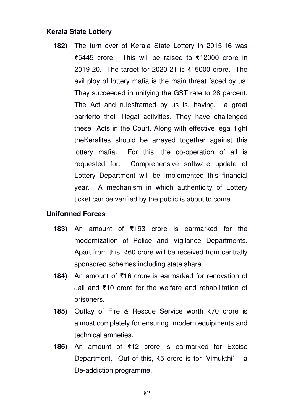# **Kerala State Lottery**

**182)** The turn over of Kerala State Lottery in 2015-16 was ₹5445 crore. This will be raised to ₹12000 crore in 2019-20. The target for 2020-21 is ₹15000 crore. The evil ploy of lottery mafia is the main threat faced by us. They succeeded in unifying the GST rate to 28 percent. The Act and rulesframed by us is, having, a great barrierto their illegal activities. They have challenged these Acts in the Court. Along with effective legal fight theKeralites should be arrayed together against this lottery mafia. For this, the co-operation of all is requested for. Comprehensive software update of Lottery Department will be implemented this financial year. A mechanism in which authenticity of Lottery ticket can be verified by the public is about to come.

## **Uniformed Forces**

- **183)** An amount of ₹193 crore is earmarked for the modernization of Police and Vigilance Departments. Apart from this, ₹60 crore will be received from centrally sponsored schemes including state share.
- **184)** An amount of ₹16 crore is earmarked for renovation of Jail and ₹10 crore for the welfare and rehabilitation of prisoners.
- **185)** Outlay of Fire & Rescue Service worth ₹70 crore is almost completely for ensuring modern equipments and technical amneties.
- **186)** An amount of ₹12 crore is earmarked for Excise Department. Out of this, ₹5 crore is for 'Vimukthi' – a De-addiction programme.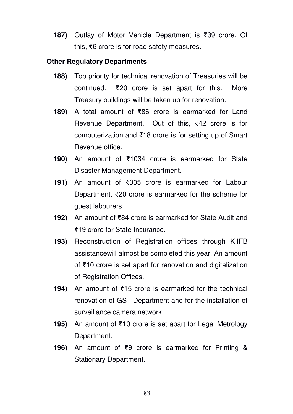**187)** Outlay of Motor Vehicle Department is ₹39 crore. Of this, ₹6 crore is for road safety measures.

# **Other Regulatory Departments**

- **188)** Top priority for technical renovation of Treasuries will be continued. ₹20 crore is set apart for this. More Treasury buildings will be taken up for renovation.
- **189)** A total amount of ₹86 crore is earmarked for Land Revenue Department. Out of this, ₹42 crore is for computerization and ₹18 crore is for setting up of Smart Revenue office.
- **190)** An amount of ₹1034 crore is earmarked for State Disaster Management Department.
- **191)** An amount of ₹305 crore is earmarked for Labour Department. ₹20 crore is earmarked for the scheme for guest labourers.
- **192)** An amount of ₹84 crore is earmarked for State Audit and ₹19 crore for State Insurance.
- **193)** Reconstruction of Registration offices through KIIFB assistancewill almost be completed this year. An amount of ₹10 crore is set apart for renovation and digitalization of Registration Offices.
- **194)** An amount of ₹15 crore is earmarked for the technical renovation of GST Department and for the installation of surveillance camera network.
- **195)** An amount of ₹10 crore is set apart for Legal Metrology Department.
- **196)** An amount of ₹9 crore is earmarked for Printing & Stationary Department.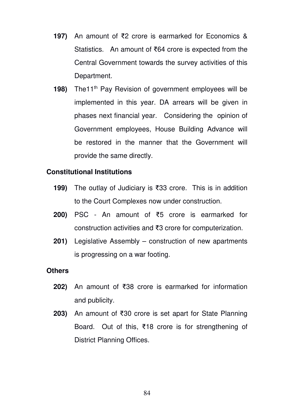- **197)** An amount of ₹2 crore is earmarked for Economics & Statistics. An amount of ₹64 crore is expected from the Central Government towards the survey activities of this Department.
- **198)** The11<sup>th</sup> Pay Revision of government employees will be implemented in this year. DA arrears will be given in phases next financial year. Considering the opinion of Government employees, House Building Advance will be restored in the manner that the Government will provide the same directly.

# **Constitutional Institutions**

- **199)** The outlay of Judiciary is ₹33 crore. This is in addition to the Court Complexes now under construction.
- **200)** PSC An amount of ₹5 crore is earmarked for construction activities and ₹3 crore for computerization.
- **201)** Legislative Assembly construction of new apartments is progressing on a war footing.

#### **Others**

- **202)** An amount of ₹38 crore is earmarked for information and publicity.
- **203)** An amount of ₹30 crore is set apart for State Planning Board. Out of this, ₹18 crore is for strengthening of District Planning Offices.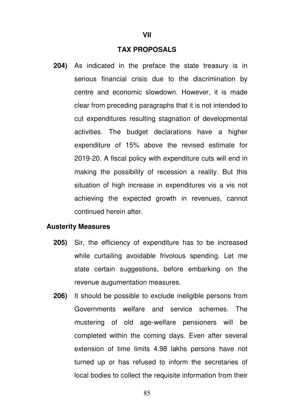#### **TAX PROPOSALS**

**204)** As indicated in the preface the state treasury is in serious financial crisis due to the discrimination by centre and economic slowdown. However, it is made clear from preceding paragraphs that it is not intended to cut expenditures resulting stagnation of developmental activities. The budget declarations have a higher expenditure of 15% above the revised estimate for 2019-20. A fiscal policy with expenditure cuts will end in making the possibility of recession a reality. But this situation of high increase in expenditures vis a vis not achieving the expected growth in revenues, cannot continued herein after.

#### **Austerity Measures**

- **205)** Sir, the efficiency of expenditure has to be increased while curtailing avoidable frivolous spending. Let me state certain suggestions, before embarking on the revenue augumentation measures.
- **206)** It should be possible to exclude ineligible persons from Governments welfare and service schemes. The mustering of old age-welfare pensioners will be completed within the coming days. Even after several extension of time limits 4.98 lakhs persons have not turned up or has refused to inform the secretaries of local bodies to collect the requisite information from their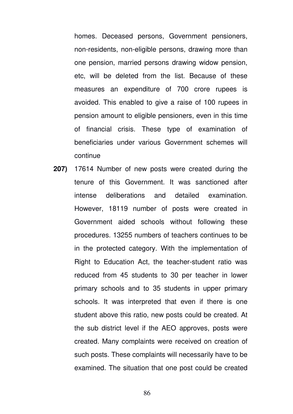homes. Deceased persons, Government pensioners, non-residents, non-eligible persons, drawing more than one pension, married persons drawing widow pension, etc, will be deleted from the list. Because of these measures an expenditure of 700 crore rupees is avoided. This enabled to give a raise of 100 rupees in pension amount to eligible pensioners, even in this time of financial crisis. These type of examination of beneficiaries under various Government schemes will continue

**207)** 17614 Number of new posts were created during the tenure of this Government. It was sanctioned after intense deliberations and detailed examination. However, 18119 number of posts were created in Government aided schools without following these procedures. 13255 numbers of teachers continues to be in the protected category. With the implementation of Right to Education Act, the teacher-student ratio was reduced from 45 students to 30 per teacher in lower primary schools and to 35 students in upper primary schools. It was interpreted that even if there is one student above this ratio, new posts could be created. At the sub district level if the AEO approves, posts were created. Many complaints were received on creation of such posts. These complaints will necessarily have to be examined. The situation that one post could be created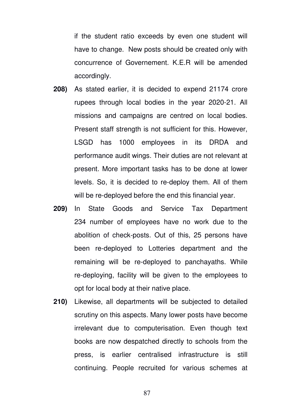if the student ratio exceeds by even one student will have to change. New posts should be created only with concurrence of Governement. K.E.R will be amended accordingly.

- **208)** As stated earlier, it is decided to expend 21174 crore rupees through local bodies in the year 2020-21. All missions and campaigns are centred on local bodies. Present staff strength is not sufficient for this. However, LSGD has 1000 employees in its DRDA and performance audit wings. Their duties are not relevant at present. More important tasks has to be done at lower levels. So, it is decided to re-deploy them. All of them will be re-deployed before the end this financial year.
- **209)** In State Goods and Service Tax Department 234 number of employees have no work due to the abolition of check-posts. Out of this, 25 persons have been re-deployed to Lotteries department and the remaining will be re-deployed to panchayaths. While re-deploying, facility will be given to the employees to opt for local body at their native place.
- **210)** Likewise, all departments will be subjected to detailed scrutiny on this aspects. Many lower posts have become irrelevant due to computerisation. Even though text books are now despatched directly to schools from the press, is earlier centralised infrastructure is still continuing. People recruited for various schemes at

87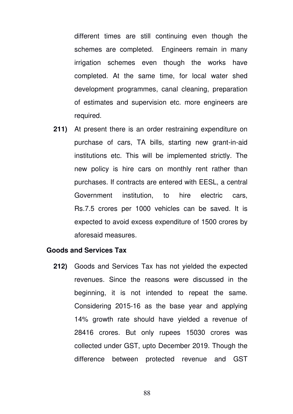different times are still continuing even though the schemes are completed. Engineers remain in many irrigation schemes even though the works have completed. At the same time, for local water shed development programmes, canal cleaning, preparation of estimates and supervision etc. more engineers are required.

**211)** At present there is an order restraining expenditure on purchase of cars, TA bills, starting new grant-in-aid institutions etc. This will be implemented strictly. The new policy is hire cars on monthly rent rather than purchases. If contracts are entered with EESL, a central Government institution, to hire electric cars, Rs.7.5 crores per 1000 vehicles can be saved. It is expected to avoid excess expenditure of 1500 crores by aforesaid measures.

#### **Goods and Services Tax**

**212)** Goods and Services Tax has not yielded the expected revenues. Since the reasons were discussed in the beginning, it is not intended to repeat the same. Considering 2015-16 as the base year and applying 14% growth rate should have yielded a revenue of 28416 crores. But only rupees 15030 crores was collected under GST, upto December 2019. Though the difference between protected revenue and GST

88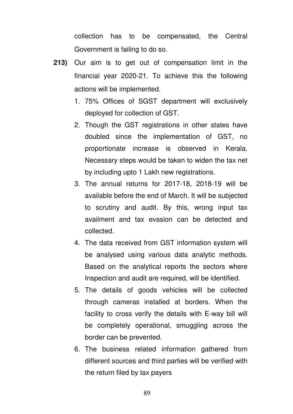collection has to be compensated, the Central Government is failing to do so.

- **213)** Our aim is to get out of compensation limit in the financial year 2020-21. To achieve this the following actions will be implemented.
	- 1. 75% Offices of SGST department will exclusively deployed for collection of GST.
	- 2. Though the GST registrations in other states have doubled since the implementation of GST, no proportionate increase is observed in Kerala. Necessary steps would be taken to widen the tax net by including upto 1 Lakh new registrations.
	- 3. The annual returns for 2017-18, 2018-19 will be available before the end of March. It will be subjected to scrutiny and audit. By this, wrong input tax availment and tax evasion can be detected and collected.
	- 4. The data received from GST information system will be analysed using various data analytic methods. Based on the analytical reports the sectors where Inspection and audit are required, will be identified.
	- 5. The details of goods vehicles will be collected through cameras installed at borders. When the facility to cross verify the details with E-way bill will be completely operational, smuggling across the border can be prevented.
	- 6. The business related information gathered from different sources and third parties will be verified with the return filed by tax payers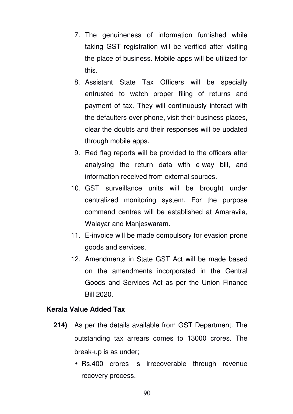- 7. The genuineness of information furnished while taking GST registration will be verified after visiting the place of business. Mobile apps will be utilized for this.
- 8. Assistant State Tax Officers will be specially entrusted to watch proper filing of returns and payment of tax. They will continuously interact with the defaulters over phone, visit their business places, clear the doubts and their responses will be updated through mobile apps.
- 9. Red flag reports will be provided to the officers after analysing the return data with e-way bill, and information received from external sources.
- 10. GST surveillance units will be brought under centralized monitoring system. For the purpose command centres will be established at Amaravila, Walayar and Manjeswaram.
- 11. E-invoice will be made compulsory for evasion prone goods and services.
- 12. Amendments in State GST Act will be made based on the amendments incorporated in the Central Goods and Services Act as per the Union Finance Bill 2020.

# **Kerala Value Added Tax**

- **214)** As per the details available from GST Department. The outstanding tax arrears comes to 13000 crores. The break-up is as under;
	- Rs.400 crores is irrecoverable through revenue recovery process.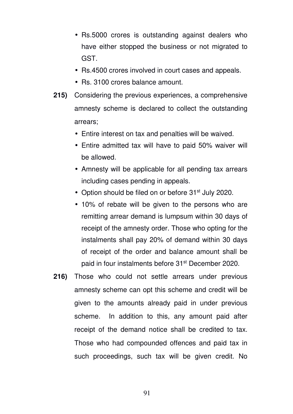- Rs.5000 crores is outstanding against dealers who have either stopped the business or not migrated to GST.
- Rs.4500 crores involved in court cases and appeals.
- Rs. 3100 crores balance amount.
- **215)** Considering the previous experiences, a comprehensive amnesty scheme is declared to collect the outstanding arrears;
	- Entire interest on tax and penalties will be waived.
	- Entire admitted tax will have to paid 50% waiver will be allowed.
	- Amnesty will be applicable for all pending tax arrears including cases pending in appeals.
	- Option should be filed on or before 31<sup>st</sup> July 2020.
	- 10% of rebate will be given to the persons who are remitting arrear demand is lumpsum within 30 days of receipt of the amnesty order. Those who opting for the instalments shall pay 20% of demand within 30 days of receipt of the order and balance amount shall be paid in four instalments before 31<sup>st</sup> December 2020.
- **216)** Those who could not settle arrears under previous amnesty scheme can opt this scheme and credit will be given to the amounts already paid in under previous scheme. In addition to this, any amount paid after receipt of the demand notice shall be credited to tax. Those who had compounded offences and paid tax in such proceedings, such tax will be given credit. No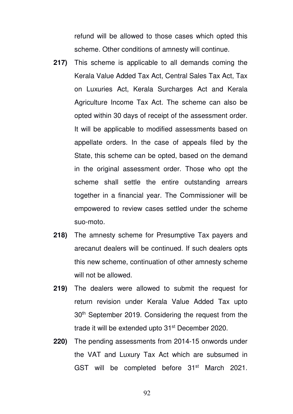refund will be allowed to those cases which opted this scheme. Other conditions of amnesty will continue.

- **217)** This scheme is applicable to all demands coming the Kerala Value Added Tax Act, Central Sales Tax Act, Tax on Luxuries Act, Kerala Surcharges Act and Kerala Agriculture Income Tax Act. The scheme can also be opted within 30 days of receipt of the assessment order. It will be applicable to modified assessments based on appellate orders. In the case of appeals filed by the State, this scheme can be opted, based on the demand in the original assessment order. Those who opt the scheme shall settle the entire outstanding arrears together in a financial year. The Commissioner will be empowered to review cases settled under the scheme suo-moto.
- **218)** The amnesty scheme for Presumptive Tax payers and arecanut dealers will be continued. If such dealers opts this new scheme, continuation of other amnesty scheme will not be allowed.
- **219)** The dealers were allowed to submit the request for return revision under Kerala Value Added Tax upto 30th September 2019. Considering the request from the trade it will be extended upto 31<sup>st</sup> December 2020.
- **220)** The pending assessments from 2014-15 onwords under the VAT and Luxury Tax Act which are subsumed in GST will be completed before 31<sup>st</sup> March 2021.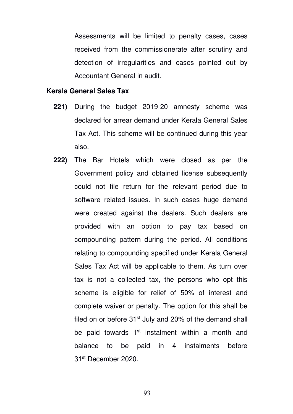Assessments will be limited to penalty cases, cases received from the commissionerate after scrutiny and detection of irregularities and cases pointed out by Accountant General in audit.

#### **Kerala General Sales Tax**

- **221)** During the budget 2019-20 amnesty scheme was declared for arrear demand under Kerala General Sales Tax Act. This scheme will be continued during this year also.
- **222)** The Bar Hotels which were closed as per the Government policy and obtained license subsequently could not file return for the relevant period due to software related issues. In such cases huge demand were created against the dealers. Such dealers are provided with an option to pay tax based on compounding pattern during the period. All conditions relating to compounding specified under Kerala General Sales Tax Act will be applicable to them. As turn over tax is not a collected tax, the persons who opt this scheme is eligible for relief of 50% of interest and complete waiver or penalty. The option for this shall be filed on or before  $31<sup>st</sup>$  July and 20% of the demand shall be paid towards  $1<sup>st</sup>$  instalment within a month and balance to be paid in 4 instalments before 31st December 2020.

93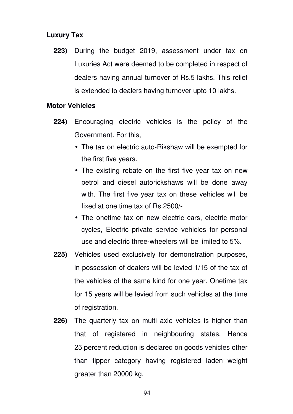# **Luxury Tax**

**223)** During the budget 2019, assessment under tax on Luxuries Act were deemed to be completed in respect of dealers having annual turnover of Rs.5 lakhs. This relief is extended to dealers having turnover upto 10 lakhs.

# **Motor Vehicles**

- **224)** Encouraging electric vehicles is the policy of the Government. For this,
	- The tax on electric auto-Rikshaw will be exempted for the first five years.
	- The existing rebate on the first five year tax on new petrol and diesel autorickshaws will be done away with. The first five year tax on these vehicles will be fixed at one time tax of Rs.2500/-
	- The onetime tax on new electric cars, electric motor cycles, Electric private service vehicles for personal use and electric three-wheelers will be limited to 5%.
- **225)** Vehicles used exclusively for demonstration purposes, in possession of dealers will be levied 1/15 of the tax of the vehicles of the same kind for one year. Onetime tax for 15 years will be levied from such vehicles at the time of registration.
- **226)** The quarterly tax on multi axle vehicles is higher than that of registered in neighbouring states. Hence 25 percent reduction is declared on goods vehicles other than tipper category having registered laden weight greater than 20000 kg.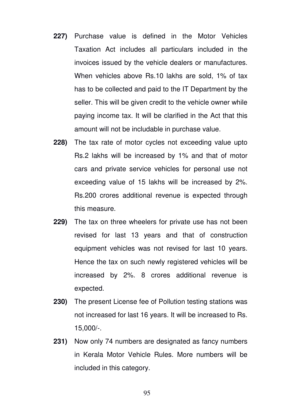- **227)** Purchase value is defined in the Motor Vehicles Taxation Act includes all particulars included in the invoices issued by the vehicle dealers or manufactures. When vehicles above Rs.10 lakhs are sold, 1% of tax has to be collected and paid to the IT Department by the seller. This will be given credit to the vehicle owner while paying income tax. It will be clarified in the Act that this amount will not be includable in purchase value.
- **228)** The tax rate of motor cycles not exceeding value upto Rs.2 lakhs will be increased by 1% and that of motor cars and private service vehicles for personal use not exceeding value of 15 lakhs will be increased by 2%. Rs.200 crores additional revenue is expected through this measure.
- **229)** The tax on three wheelers for private use has not been revised for last 13 years and that of construction equipment vehicles was not revised for last 10 years. Hence the tax on such newly registered vehicles will be increased by 2%. 8 crores additional revenue is expected.
- **230)** The present License fee of Pollution testing stations was not increased for last 16 years. It will be increased to Rs. 15,000/-.
- **231)** Now only 74 numbers are designated as fancy numbers in Kerala Motor Vehicle Rules. More numbers will be included in this category.

95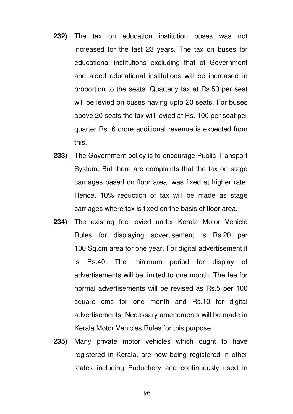- **232)** The tax on education institution buses was not increased for the last 23 years. The tax on buses for educational institutions excluding that of Government and aided educational institutions will be increased in proportion to the seats. Quarterly tax at Rs.50 per seat will be levied on buses having upto 20 seats. For buses above 20 seats the tax will levied at Rs. 100 per seat per quarter Rs. 6 crore additional revenue is expected from this.
- **233)** The Government policy is to encourage Public Transport System. But there are complaints that the tax on stage carriages based on floor area, was fixed at higher rate. Hence, 10% reduction of tax will be made as stage carriages where tax is fixed on the basis of floor area.
- **234)** The existing fee levied under Kerala Motor Vehicle Rules for displaying advertisement is Rs.20 per 100 Sq.cm area for one year. For digital advertisement it is Rs.40. The minimum period for display of advertisements will be limited to one month. The fee for normal advertisements will be revised as Rs.5 per 100 square cms for one month and Rs.10 for digital advertisements. Necessary amendments will be made in Kerala Motor Vehicles Rules for this purpose.
- **235)** Many private motor vehicles which ought to have registered in Kerala, are now being registered in other states including Puduchery and continuously used in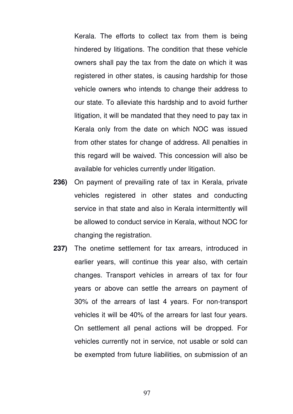Kerala. The efforts to collect tax from them is being hindered by litigations. The condition that these vehicle owners shall pay the tax from the date on which it was registered in other states, is causing hardship for those vehicle owners who intends to change their address to our state. To alleviate this hardship and to avoid further litigation, it will be mandated that they need to pay tax in Kerala only from the date on which NOC was issued from other states for change of address. All penalties in this regard will be waived. This concession will also be available for vehicles currently under litigation.

- **236)** On payment of prevailing rate of tax in Kerala, private vehicles registered in other states and conducting service in that state and also in Kerala intermittently will be allowed to conduct service in Kerala, without NOC for changing the registration.
- **237)** The onetime settlement for tax arrears, introduced in earlier years, will continue this year also, with certain changes. Transport vehicles in arrears of tax for four years or above can settle the arrears on payment of 30% of the arrears of last 4 years. For non-transport vehicles it will be 40% of the arrears for last four years. On settlement all penal actions will be dropped. For vehicles currently not in service, not usable or sold can be exempted from future liabilities, on submission of an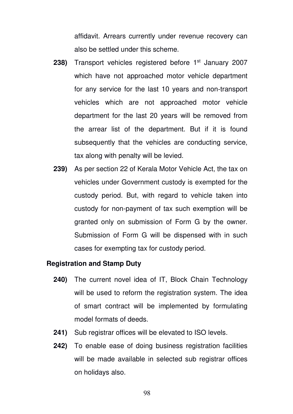affidavit. Arrears currently under revenue recovery can also be settled under this scheme.

- **238)** Transport vehicles registered before 1<sup>st</sup> January 2007 which have not approached motor vehicle department for any service for the last 10 years and non-transport vehicles which are not approached motor vehicle department for the last 20 years will be removed from the arrear list of the department. But if it is found subsequently that the vehicles are conducting service, tax along with penalty will be levied.
- **239)** As per section 22 of Kerala Motor Vehicle Act, the tax on vehicles under Government custody is exempted for the custody period. But, with regard to vehicle taken into custody for non-payment of tax such exemption will be granted only on submission of Form G by the owner. Submission of Form G will be dispensed with in such cases for exempting tax for custody period.

# **Registration and Stamp Duty**

- **240)** The current novel idea of IT, Block Chain Technology will be used to reform the registration system. The idea of smart contract will be implemented by formulating model formats of deeds.
- **241)** Sub registrar offices will be elevated to ISO levels.
- **242)** To enable ease of doing business registration facilities will be made available in selected sub registrar offices on holidays also.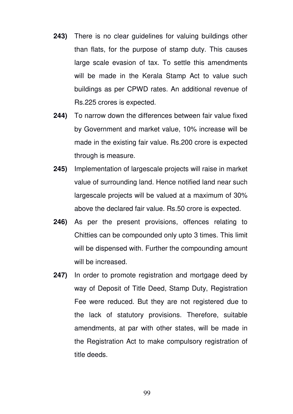- **243)** There is no clear guidelines for valuing buildings other than flats, for the purpose of stamp duty. This causes large scale evasion of tax. To settle this amendments will be made in the Kerala Stamp Act to value such buildings as per CPWD rates. An additional revenue of Rs.225 crores is expected.
- **244)** To narrow down the differences between fair value fixed by Government and market value, 10% increase will be made in the existing fair value. Rs.200 crore is expected through is measure.
- **245)** Implementation of largescale projects will raise in market value of surrounding land. Hence notified land near such largescale projects will be valued at a maximum of 30% above the declared fair value. Rs.50 crore is expected.
- **246)** As per the present provisions, offences relating to Chitties can be compounded only upto 3 times. This limit will be dispensed with. Further the compounding amount will be increased.
- **247)** In order to promote registration and mortgage deed by way of Deposit of Title Deed, Stamp Duty, Registration Fee were reduced. But they are not registered due to the lack of statutory provisions. Therefore, suitable amendments, at par with other states, will be made in the Registration Act to make compulsory registration of title deeds.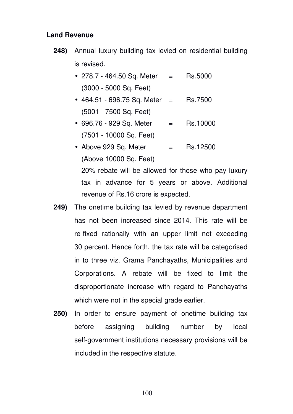#### **Land Revenue**

- **248)** Annual luxury building tax levied on residential building is revised.
	- 278.7 464.50 Sq. Meter  $=$  Rs.5000 (3000 - 5000 Sq. Feet)
	- $464.51 696.75$  Sq. Meter = Rs.7500 (5001 - 7500 Sq. Feet)
	- $696.76 929$  Sq. Meter  $=$  Rs.10000 (7501 - 10000 Sq. Feet)
	- Above  $929$  Sq. Meter  $=$  Rs.12500 (Above 10000 Sq. Feet)

20% rebate will be allowed for those who pay luxury tax in advance for 5 years or above. Additional revenue of Rs.16 crore is expected.

- **249)** The onetime building tax levied by revenue department has not been increased since 2014. This rate will be re-fixed rationally with an upper limit not exceeding 30 percent. Hence forth, the tax rate will be categorised in to three viz. Grama Panchayaths, Municipalities and Corporations. A rebate will be fixed to limit the disproportionate increase with regard to Panchayaths which were not in the special grade earlier.
- **250)** In order to ensure payment of onetime building tax before assigning building number by local self-government institutions necessary provisions will be included in the respective statute.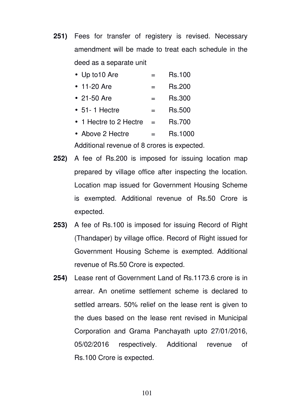**251)** Fees for transfer of registery is revised. Necessary amendment will be made to treat each schedule in the deed as a separate unit

| $\bullet$ Up to 10 Are | <b>Rs.100</b> |
|------------------------|---------------|
| • $11-20$ Are          | <b>Rs.200</b> |

- 21-50 Are  $=$  Rs.300
- $\bullet$  51-1 Hectre  $\qquad \qquad = \qquad$ Rs.500
- 1 Hectre to 2 Hectre  $=$  Rs.700
- Above 2 Hectre  $=$  Rs.1000

Additional revenue of 8 crores is expected.

- **252)** A fee of Rs.200 is imposed for issuing location map prepared by village office after inspecting the location. Location map issued for Government Housing Scheme is exempted. Additional revenue of Rs.50 Crore is expected.
- **253)** A fee of Rs.100 is imposed for issuing Record of Right (Thandaper) by village office. Record of Right issued for Government Housing Scheme is exempted. Additional revenue of Rs.50 Crore is expected.
- **254)** Lease rent of Government Land of Rs.1173.6 crore is in arrear. An onetime settlement scheme is declared to settled arrears. 50% relief on the lease rent is given to the dues based on the lease rent revised in Municipal Corporation and Grama Panchayath upto 27/01/2016, 05/02/2016 respectively. Additional revenue of Rs.100 Crore is expected.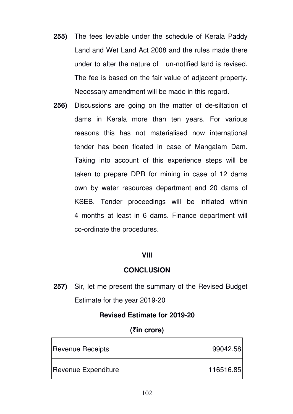- **255)** The fees leviable under the schedule of Kerala Paddy Land and Wet Land Act 2008 and the rules made there under to alter the nature of un-notified land is revised. The fee is based on the fair value of adjacent property. Necessary amendment will be made in this regard.
- **256)** Discussions are going on the matter of de-siltation of dams in Kerala more than ten years. For various reasons this has not materialised now international tender has been floated in case of Mangalam Dam. Taking into account of this experience steps will be taken to prepare DPR for mining in case of 12 dams own by water resources department and 20 dams of KSEB. Tender proceedings will be initiated within 4 months at least in 6 dams. Finance department will co-ordinate the procedures.

#### **VIII**

## **CONCLUSION**

**257)** Sir, let me present the summary of the Revised Budget Estimate for the year 2019-20

## **Revised Estimate for 2019-20**

# **(₹in crore)**

| Revenue Receipts           | 99042.58  |
|----------------------------|-----------|
| <b>Revenue Expenditure</b> | 116516.85 |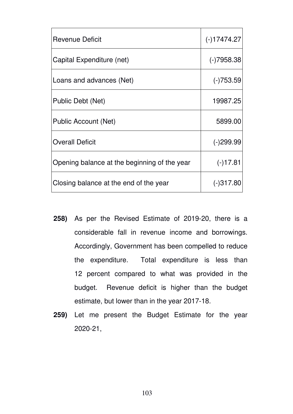| <b>Revenue Deficit</b>                       | $(-)17474.27$ |
|----------------------------------------------|---------------|
| Capital Expenditure (net)                    | $(-)7958.38$  |
| Loans and advances (Net)                     | $(-)753.59$   |
| Public Debt (Net)                            | 19987.25      |
| Public Account (Net)                         | 5899.00       |
| <b>Overall Deficit</b>                       | $(-)299.99$   |
| Opening balance at the beginning of the year | $(-)17.81$    |
| Closing balance at the end of the year       | $(-)317.80$   |

- **258)** As per the Revised Estimate of 2019-20, there is a considerable fall in revenue income and borrowings. Accordingly, Government has been compelled to reduce the expenditure. Total expenditure is less than 12 percent compared to what was provided in the budget. Revenue deficit is higher than the budget estimate, but lower than in the year 2017-18.
- **259)** Let me present the Budget Estimate for the year 2020-21,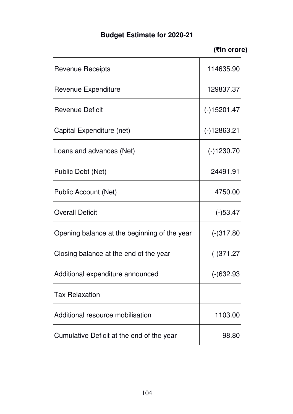# **Budget Estimate for 2020-21**

**(₹in crore)** 

| Revenue Receipts                             | 114635.90     |
|----------------------------------------------|---------------|
| Revenue Expenditure                          | 129837.37     |
| <b>Revenue Deficit</b>                       | $(-)15201.47$ |
| Capital Expenditure (net)                    | $(-)12863.21$ |
| Loans and advances (Net)                     | $(-)1230.70$  |
| Public Debt (Net)                            | 24491.91      |
| Public Account (Net)                         | 4750.00       |
| <b>Overall Deficit</b>                       | $(-)53.47$    |
| Opening balance at the beginning of the year | $(-)317.80$   |
| Closing balance at the end of the year       | $(-)371.27$   |
| Additional expenditure announced             | $(-)632.93$   |
| <b>Tax Relaxation</b>                        |               |
| Additional resource mobilisation             | 1103.00       |
| Cumulative Deficit at the end of the year    | 98.80         |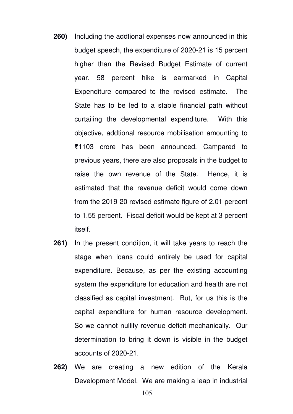- **260)** Including the addtional expenses now announced in this budget speech, the expenditure of 2020-21 is 15 percent higher than the Revised Budget Estimate of current year. 58 percent hike is earmarked in Capital Expenditure compared to the revised estimate. The State has to be led to a stable financial path without curtailing the developmental expenditure. With this objective, addtional resource mobilisation amounting to ₹1103 crore has been announced. Campared to previous years, there are also proposals in the budget to raise the own revenue of the State. Hence, it is estimated that the revenue deficit would come down from the 2019-20 revised estimate figure of 2.01 percent to 1.55 percent. Fiscal deficit would be kept at 3 percent itself.
- **261)** In the present condition, it will take years to reach the stage when loans could entirely be used for capital expenditure. Because, as per the existing accounting system the expenditure for education and health are not classified as capital investment. But, for us this is the capital expenditure for human resource development. So we cannot nullify revenue deficit mechanically. Our determination to bring it down is visible in the budget accounts of 2020-21.
- **262)** We are creating a new edition of the Kerala Development Model. We are making a leap in industrial